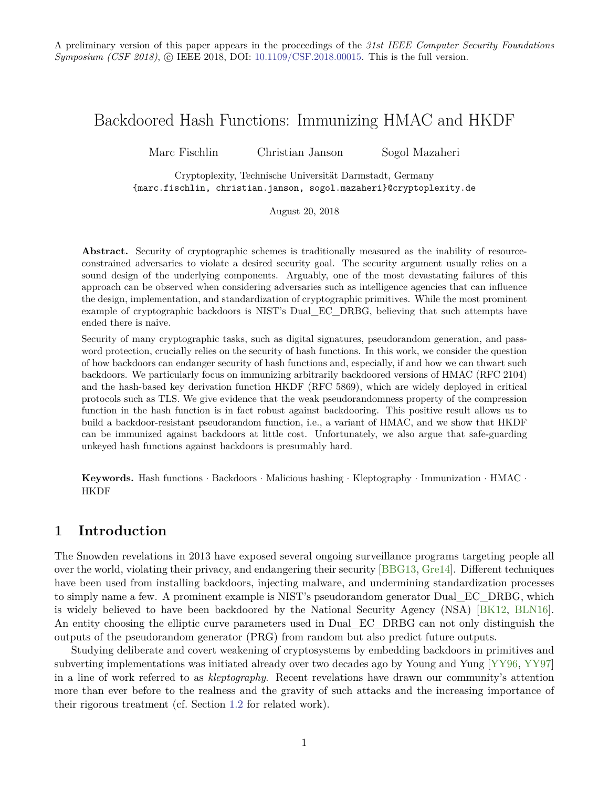# <span id="page-0-0"></span>Backdoored Hash Functions: Immunizing HMAC and HKDF

Marc Fischlin Christian Janson Sogol Mazaheri

Cryptoplexity, Technische Universität Darmstadt, Germany {marc.fischlin, christian.janson, sogol.mazaheri}@cryptoplexity.de

August 20, 2018

Abstract. Security of cryptographic schemes is traditionally measured as the inability of resourceconstrained adversaries to violate a desired security goal. The security argument usually relies on a sound design of the underlying components. Arguably, one of the most devastating failures of this approach can be observed when considering adversaries such as intelligence agencies that can influence the design, implementation, and standardization of cryptographic primitives. While the most prominent example of cryptographic backdoors is NIST's Dual\_EC\_DRBG, believing that such attempts have ended there is naive.

Security of many cryptographic tasks, such as digital signatures, pseudorandom generation, and password protection, crucially relies on the security of hash functions. In this work, we consider the question of how backdoors can endanger security of hash functions and, especially, if and how we can thwart such backdoors. We particularly focus on immunizing arbitrarily backdoored versions of HMAC (RFC 2104) and the hash-based key derivation function HKDF (RFC 5869), which are widely deployed in critical protocols such as TLS. We give evidence that the weak pseudorandomness property of the compression function in the hash function is in fact robust against backdooring. This positive result allows us to build a backdoor-resistant pseudorandom function, i.e., a variant of HMAC, and we show that HKDF can be immunized against backdoors at little cost. Unfortunately, we also argue that safe-guarding unkeyed hash functions against backdoors is presumably hard.

**Keywords.** Hash functions · Backdoors · Malicious hashing · Kleptography · Immunization · HMAC · **HKDF** 

# **1 Introduction**

The Snowden revelations in 2013 have exposed several ongoing surveillance programs targeting people all over the world, violating their privacy, and endangering their security [\[BBG13,](#page-26-0) [Gre14\]](#page-28-0). Different techniques have been used from installing backdoors, injecting malware, and undermining standardization processes to simply name a few. A prominent example is NIST's pseudorandom generator Dual\_EC\_DRBG, which is widely believed to have been backdoored by the National Security Agency (NSA) [\[BK12,](#page-27-0) [BLN16\]](#page-27-1). An entity choosing the elliptic curve parameters used in Dual\_EC\_DRBG can not only distinguish the outputs of the pseudorandom generator (PRG) from random but also predict future outputs.

Studying deliberate and covert weakening of cryptosystems by embedding backdoors in primitives and subverting implementations was initiated already over two decades ago by Young and Yung [\[YY96,](#page-30-0) [YY97\]](#page-30-1) in a line of work referred to as *kleptography*. Recent revelations have drawn our community's attention more than ever before to the realness and the gravity of such attacks and the increasing importance of their rigorous treatment (cf. Section [1.2](#page-2-0) for related work).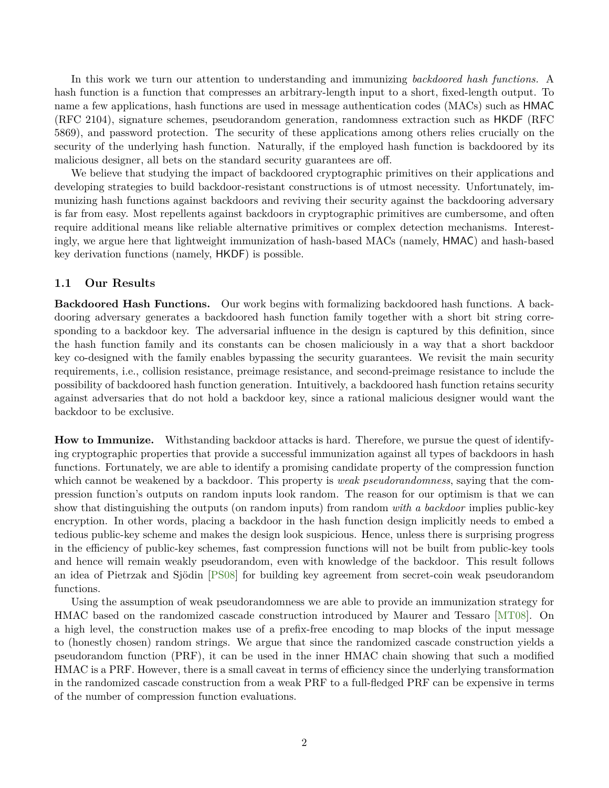<span id="page-1-0"></span>In this work we turn our attention to understanding and immunizing *backdoored hash functions.* A hash function is a function that compresses an arbitrary-length input to a short, fixed-length output. To name a few applications, hash functions are used in message authentication codes (MACs) such as HMAC (RFC 2104), signature schemes, pseudorandom generation, randomness extraction such as HKDF (RFC 5869), and password protection. The security of these applications among others relies crucially on the security of the underlying hash function. Naturally, if the employed hash function is backdoored by its malicious designer, all bets on the standard security guarantees are off.

We believe that studying the impact of backdoored cryptographic primitives on their applications and developing strategies to build backdoor-resistant constructions is of utmost necessity. Unfortunately, immunizing hash functions against backdoors and reviving their security against the backdooring adversary is far from easy. Most repellents against backdoors in cryptographic primitives are cumbersome, and often require additional means like reliable alternative primitives or complex detection mechanisms. Interestingly, we argue here that lightweight immunization of hash-based MACs (namely, HMAC) and hash-based key derivation functions (namely, HKDF) is possible.

## **1.1 Our Results**

**Backdoored Hash Functions.** Our work begins with formalizing backdoored hash functions. A backdooring adversary generates a backdoored hash function family together with a short bit string corresponding to a backdoor key. The adversarial influence in the design is captured by this definition, since the hash function family and its constants can be chosen maliciously in a way that a short backdoor key co-designed with the family enables bypassing the security guarantees. We revisit the main security requirements, i.e., collision resistance, preimage resistance, and second-preimage resistance to include the possibility of backdoored hash function generation. Intuitively, a backdoored hash function retains security against adversaries that do not hold a backdoor key, since a rational malicious designer would want the backdoor to be exclusive.

**How to Immunize.** Withstanding backdoor attacks is hard. Therefore, we pursue the quest of identifying cryptographic properties that provide a successful immunization against all types of backdoors in hash functions. Fortunately, we are able to identify a promising candidate property of the compression function which cannot be weakened by a backdoor. This property is *weak pseudorandomness*, saying that the compression function's outputs on random inputs look random. The reason for our optimism is that we can show that distinguishing the outputs (on random inputs) from random *with a backdoor* implies public-key encryption. In other words, placing a backdoor in the hash function design implicitly needs to embed a tedious public-key scheme and makes the design look suspicious. Hence, unless there is surprising progress in the efficiency of public-key schemes, fast compression functions will not be built from public-key tools and hence will remain weakly pseudorandom, even with knowledge of the backdoor. This result follows an idea of Pietrzak and Sjödin [\[PS08\]](#page-29-0) for building key agreement from secret-coin weak pseudorandom functions.

Using the assumption of weak pseudorandomness we are able to provide an immunization strategy for HMAC based on the randomized cascade construction introduced by Maurer and Tessaro [\[MT08\]](#page-29-1). On a high level, the construction makes use of a prefix-free encoding to map blocks of the input message to (honestly chosen) random strings. We argue that since the randomized cascade construction yields a pseudorandom function (PRF), it can be used in the inner HMAC chain showing that such a modified HMAC is a PRF. However, there is a small caveat in terms of efficiency since the underlying transformation in the randomized cascade construction from a weak PRF to a full-fledged PRF can be expensive in terms of the number of compression function evaluations.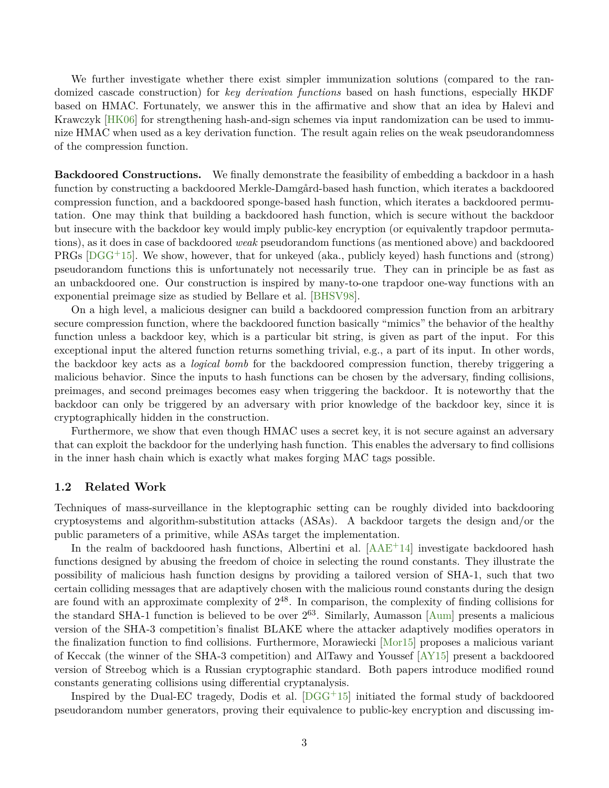<span id="page-2-1"></span>We further investigate whether there exist simpler immunization solutions (compared to the randomized cascade construction) for *key derivation functions* based on hash functions, especially HKDF based on HMAC. Fortunately, we answer this in the affirmative and show that an idea by Halevi and Krawczyk [\[HK06\]](#page-28-1) for strengthening hash-and-sign schemes via input randomization can be used to immunize HMAC when used as a key derivation function. The result again relies on the weak pseudorandomness of the compression function.

**Backdoored Constructions.** We finally demonstrate the feasibility of embedding a backdoor in a hash function by constructing a backdoored Merkle-Damgård-based hash function, which iterates a backdoored compression function, and a backdoored sponge-based hash function, which iterates a backdoored permutation. One may think that building a backdoored hash function, which is secure without the backdoor but insecure with the backdoor key would imply public-key encryption (or equivalently trapdoor permutations), as it does in case of backdoored *weak* pseudorandom functions (as mentioned above) and backdoored PRGs  $[DGG<sup>+</sup>15]$  $[DGG<sup>+</sup>15]$ . We show, however, that for unkeyed (aka., publicly keyed) hash functions and (strong) pseudorandom functions this is unfortunately not necessarily true. They can in principle be as fast as an unbackdoored one. Our construction is inspired by many-to-one trapdoor one-way functions with an exponential preimage size as studied by Bellare et al. [\[BHSV98\]](#page-27-2).

On a high level, a malicious designer can build a backdoored compression function from an arbitrary secure compression function, where the backdoored function basically "mimics" the behavior of the healthy function unless a backdoor key, which is a particular bit string, is given as part of the input. For this exceptional input the altered function returns something trivial, e.g., a part of its input. In other words, the backdoor key acts as a *logical bomb* for the backdoored compression function, thereby triggering a malicious behavior. Since the inputs to hash functions can be chosen by the adversary, finding collisions, preimages, and second preimages becomes easy when triggering the backdoor. It is noteworthy that the backdoor can only be triggered by an adversary with prior knowledge of the backdoor key, since it is cryptographically hidden in the construction.

Furthermore, we show that even though HMAC uses a secret key, it is not secure against an adversary that can exploit the backdoor for the underlying hash function. This enables the adversary to find collisions in the inner hash chain which is exactly what makes forging MAC tags possible.

## <span id="page-2-0"></span>**1.2 Related Work**

Techniques of mass-surveillance in the kleptographic setting can be roughly divided into backdooring cryptosystems and algorithm-substitution attacks (ASAs). A backdoor targets the design and/or the public parameters of a primitive, while ASAs target the implementation.

In the realm of backdoored hash functions, Albertini et al.  $[AAE^+14]$  $[AAE^+14]$  investigate backdoored hash functions designed by abusing the freedom of choice in selecting the round constants. They illustrate the possibility of malicious hash function designs by providing a tailored version of SHA-1, such that two certain colliding messages that are adaptively chosen with the malicious round constants during the design are found with an approximate complexity of  $2^{48}$ . In comparison, the complexity of finding collisions for the standard SHA-1 function is believed to be over  $2^{63}$ . Similarly, Aumasson [\[Aum\]](#page-26-2) presents a malicious version of the SHA-3 competition's finalist BLAKE where the attacker adaptively modifies operators in the finalization function to find collisions. Furthermore, Morawiecki [\[Mor15\]](#page-29-2) proposes a malicious variant of Keccak (the winner of the SHA-3 competition) and AlTawy and Youssef [\[AY15\]](#page-26-3) present a backdoored version of Streebog which is a Russian cryptographic standard. Both papers introduce modified round constants generating collisions using differential cryptanalysis.

Inspired by the Dual-EC tragedy, Dodis et al. [\[DGG](#page-28-2)+15] initiated the formal study of backdoored pseudorandom number generators, proving their equivalence to public-key encryption and discussing im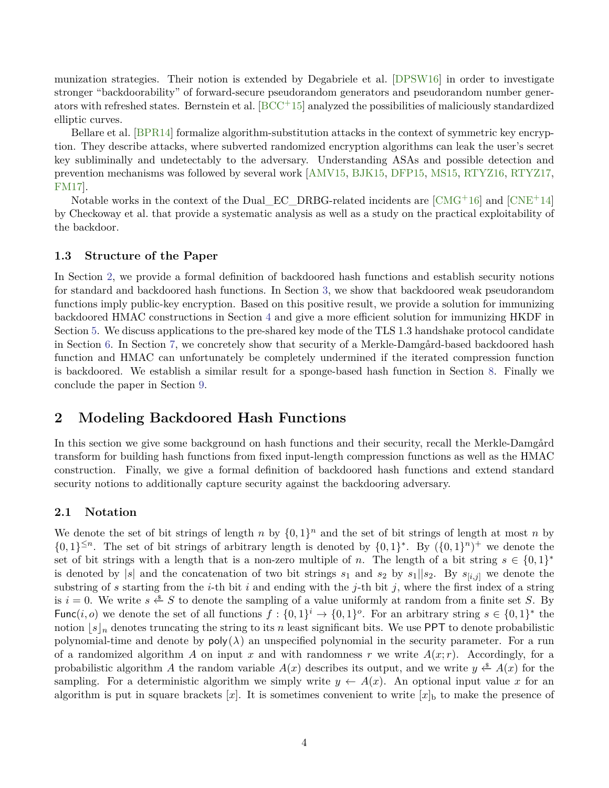<span id="page-3-1"></span>munization strategies. Their notion is extended by Degabriele et al. [\[DPSW16\]](#page-28-3) in order to investigate stronger "backdoorability" of forward-secure pseudorandom generators and pseudorandom number generators with refreshed states. Bernstein et al.  $[BCC<sup>+</sup>15]$  $[BCC<sup>+</sup>15]$  analyzed the possibilities of maliciously standardized elliptic curves.

Bellare et al. [\[BPR14\]](#page-27-3) formalize algorithm-substitution attacks in the context of symmetric key encryption. They describe attacks, where subverted randomized encryption algorithms can leak the user's secret key subliminally and undetectably to the adversary. Understanding ASAs and possible detection and prevention mechanisms was followed by several work [\[AMV15,](#page-26-5) [BJK15,](#page-27-4) [DFP15,](#page-28-4) [MS15,](#page-29-3) [RTYZ16,](#page-29-4) [RTYZ17,](#page-29-5) [FM17\]](#page-28-5).

Notable works in the context of the Dual\_EC\_DRBG-related incidents are  $\text{[CMG+16]}$  $\text{[CMG+16]}$  $\text{[CMG+16]}$  and  $\text{[CNE+14]}$  $\text{[CNE+14]}$  $\text{[CNE+14]}$ by Checkoway et al. that provide a systematic analysis as well as a study on the practical exploitability of the backdoor.

## **1.3 Structure of the Paper**

In Section [2,](#page-3-0) we provide a formal definition of backdoored hash functions and establish security notions for standard and backdoored hash functions. In Section [3,](#page-7-0) we show that backdoored weak pseudorandom functions imply public-key encryption. Based on this positive result, we provide a solution for immunizing backdoored HMAC constructions in Section [4](#page-10-0) and give a more efficient solution for immunizing HKDF in Section [5.](#page-11-0) We discuss applications to the pre-shared key mode of the TLS 1.3 handshake protocol candidate in Section [6.](#page-15-0) In Section [7,](#page-17-0) we concretely show that security of a Merkle-Damgård-based backdoored hash function and HMAC can unfortunately be completely undermined if the iterated compression function is backdoored. We establish a similar result for a sponge-based hash function in Section [8.](#page-21-0) Finally we conclude the paper in Section [9.](#page-25-0)

# <span id="page-3-0"></span>**2 Modeling Backdoored Hash Functions**

In this section we give some background on hash functions and their security, recall the Merkle-Damgård transform for building hash functions from fixed input-length compression functions as well as the HMAC construction. Finally, we give a formal definition of backdoored hash functions and extend standard security notions to additionally capture security against the backdooring adversary.

## **2.1 Notation**

We denote the set of bit strings of length *n* by  $\{0,1\}^n$  and the set of bit strings of length at most *n* by  $\{0,1\}^{\leq n}$ . The set of bit strings of arbitrary length is denoted by  $\{0,1\}^*$ . By  $(\{0,1\}^n)^+$  we denote the set of bit strings with a length that is a non-zero multiple of *n*. The length of a bit string  $s \in \{0,1\}^*$ is denoted by |s| and the concatenation of two bit strings  $s_1$  and  $s_2$  by  $s_1||s_2$ . By  $s_{[i,j]}$  we denote the substring of *s* starting from the *i*-th bit *i* and ending with the *j*-th bit *j*, where the first index of a string is  $i = 0$ . We write  $s \xleftarrow{s} S$  to denote the sampling of a value uniformly at random from a finite set *S*. By Func(*i, o*) we denote the set of all functions  $f: \{0,1\}^i \to \{0,1\}^o$ . For an arbitrary string  $s \in \{0,1\}^*$  the notion  $[s]_n$  denotes truncating the string to its *n* least significant bits. We use PPT to denote probabilistic polynomial-time and denote by  $poly(\lambda)$  an unspecified polynomial in the security parameter. For a run of a randomized algorithm *A* on input *x* and with randomness *r* we write  $A(x; r)$ . Accordingly, for a probabilistic algorithm *A* the random variable  $A(x)$  describes its output, and we write  $y \stackrel{*}{\leftarrow} A(x)$  for the sampling. For a deterministic algorithm we simply write  $y \leftarrow A(x)$ . An optional input value x for an algorithm is put in square brackets  $[x]$ . It is sometimes convenient to write  $[x]_b$  to make the presence of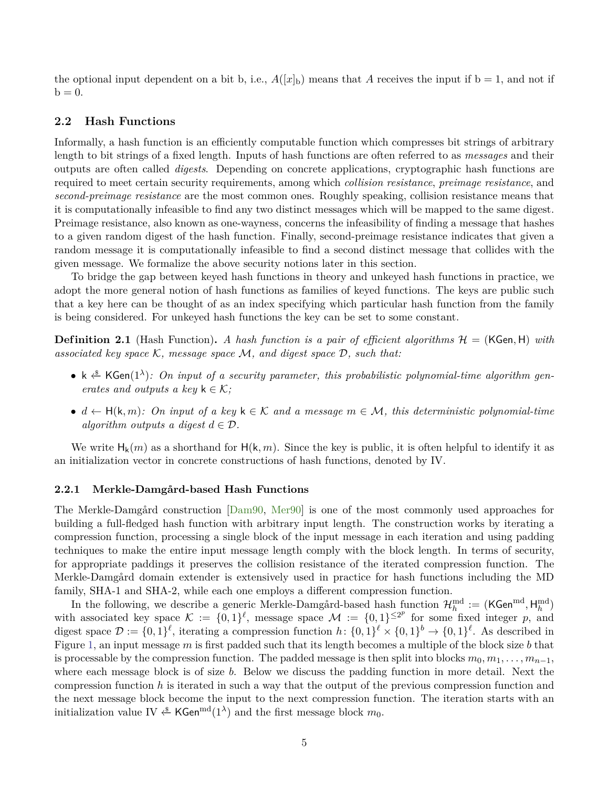<span id="page-4-1"></span>the optional input dependent on a bit b, i.e.,  $A([x]_b)$  means that A receives the input if  $b = 1$ , and not if  $b = 0.$ 

## **2.2 Hash Functions**

Informally, a hash function is an efficiently computable function which compresses bit strings of arbitrary length to bit strings of a fixed length. Inputs of hash functions are often referred to as *messages* and their outputs are often called *digests*. Depending on concrete applications, cryptographic hash functions are required to meet certain security requirements, among which *collision resistance*, *preimage resistance*, and *second-preimage resistance* are the most common ones. Roughly speaking, collision resistance means that it is computationally infeasible to find any two distinct messages which will be mapped to the same digest. Preimage resistance, also known as one-wayness, concerns the infeasibility of finding a message that hashes to a given random digest of the hash function. Finally, second-preimage resistance indicates that given a random message it is computationally infeasible to find a second distinct message that collides with the given message. We formalize the above security notions later in this section.

To bridge the gap between keyed hash functions in theory and unkeyed hash functions in practice, we adopt the more general notion of hash functions as families of keyed functions. The keys are public such that a key here can be thought of as an index specifying which particular hash function from the family is being considered. For unkeyed hash functions the key can be set to some constant.

**Definition 2.1** (Hash Function). A hash function is a pair of efficient algorithms  $H = (KGen, H)$  with *associated key space* K*, message space* M*, and digest space* D*, such that:*

- k  $\overset{\ast}{\leftarrow}$  KGen(1<sup> $\lambda$ </sup>): On input of a security parameter, this probabilistic polynomial-time algorithm gen*erates and outputs a key*  $k \in \mathcal{K}$ ;
- $d$  ←  $H(k, m)$ *:* On input of a key  $k \in K$  and a message  $m \in \mathcal{M}$ , this deterministic polynomial-time *algorithm outputs a digest*  $d \in \mathcal{D}$ .

We write  $H_k(m)$  as a shorthand for  $H(k, m)$ . Since the key is public, it is often helpful to identify it as an initialization vector in concrete constructions of hash functions, denoted by IV.

#### <span id="page-4-0"></span>**2.2.1 Merkle-Damgård-based Hash Functions**

The Merkle-Damgård construction [\[Dam90,](#page-27-7) [Mer90\]](#page-29-6) is one of the most commonly used approaches for building a full-fledged hash function with arbitrary input length. The construction works by iterating a compression function, processing a single block of the input message in each iteration and using padding techniques to make the entire input message length comply with the block length. In terms of security, for appropriate paddings it preserves the collision resistance of the iterated compression function. The Merkle-Damgård domain extender is extensively used in practice for hash functions including the MD family, SHA-1 and SHA-2, while each one employs a different compression function.

In the following, we describe a generic Merkle-Damgård-based hash function  $\mathcal{H}_h^{\text{md}} := (\textsf{KGen}^{\text{md}}, \textsf{H}_h^{\text{md}})$ with associated key space  $\mathcal{K} := \{0,1\}^{\ell}$ , message space  $\mathcal{M} := \{0,1\}^{\leq 2^p}$  for some fixed integer p, and digest space  $\mathcal{D} := \{0,1\}^{\ell}$ , iterating a compression function  $h: \{0,1\}^{\ell} \times \{0,1\}^{\ell} \to \{0,1\}^{\ell}$ . As described in Figure [1,](#page-5-0) an input message *m* is first padded such that its length becomes a multiple of the block size *b* that is processable by the compression function. The padded message is then split into blocks  $m_0, m_1, \ldots, m_{n-1}$ , where each message block is of size *b*. Below we discuss the padding function in more detail. Next the compression function *h* is iterated in such a way that the output of the previous compression function and the next message block become the input to the next compression function. The iteration starts with an initialization value IV  $\overset{\$}{\leftarrow}$  KGen<sup>md</sup>(1<sup> $\lambda$ </sup>) and the first message block  $m_0$ .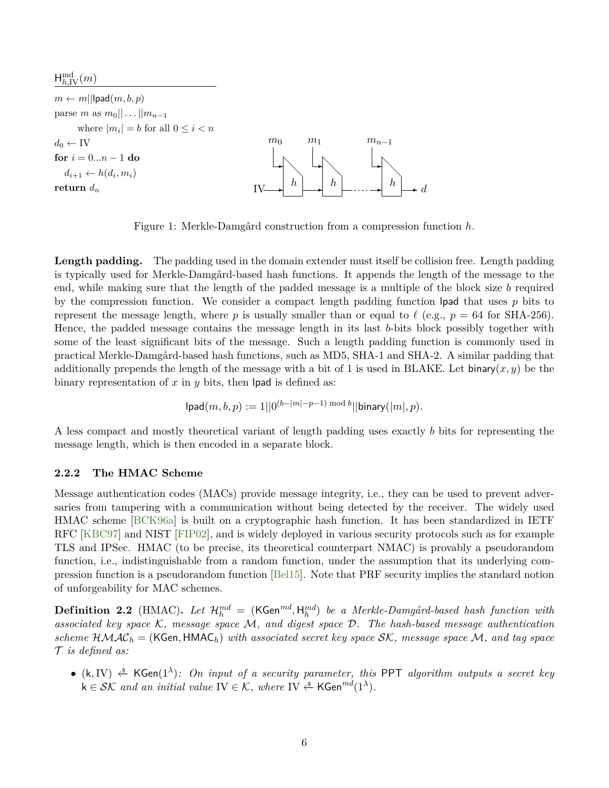<span id="page-5-1"></span><span id="page-5-0"></span> $H_{h,\mathrm{IV}}^{\mathrm{md}}(m)$ 

 $m \leftarrow m$ ||lpad $(m, b, p)$ parse *m* as  $m_0 || \dots || m_{n-1}$ where  $|m_i| = b$  for all  $0 \leq i < n$  $d_0 \leftarrow \text{IV}$ **for**  $i = 0...n - 1$  **do**  $d_{i+1} \leftarrow h(d_i, m_i)$ **return**  $d_n$  IV  $m<sub>0</sub>$  $\mathbf{A}$  $\Box$ ╲ *h m*<sup>1</sup>  $\ddot{\phantom{a}}$  $\Delta$ ╲ *h mn*−<sup>1</sup>  $\ddot{\phantom{a}}$  $\setminus$  $\diagdown$ ✲ *d*

Figure 1: Merkle-Damgård construction from a compression function *h*.

Length padding. The padding used in the domain extender must itself be collision free. Length padding is typically used for Merkle-Damgård-based hash functions. It appends the length of the message to the end, while making sure that the length of the padded message is a multiple of the block size *b* required by the compression function. We consider a compact length padding function lpad that uses *p* bits to represent the message length, where p is usually smaller than or equal to  $\ell$  (e.g.,  $p = 64$  for SHA-256). Hence, the padded message contains the message length in its last *b*-bits block possibly together with some of the least significant bits of the message. Such a length padding function is commonly used in practical Merkle-Damgård-based hash functions, such as MD5, SHA-1 and SHA-2. A similar padding that additionally prepends the length of the message with a bit of 1 is used in BLAKE. Let binary $(x, y)$  be the binary representation of  $x$  in  $y$  bits, then lpad is defined as:

$$
lpad(m, b, p) := 1||0^{(b-|m|-p-1) \bmod b}||binary(|m|, p).
$$

A less compact and mostly theoretical variant of length padding uses exactly *b* bits for representing the message length, which is then encoded in a separate block.

## **2.2.2 The HMAC Scheme**

Message authentication codes (MACs) provide message integrity, i.e., they can be used to prevent adversaries from tampering with a communication without being detected by the receiver. The widely used HMAC scheme [\[BCK96a\]](#page-26-6) is built on a cryptographic hash function. It has been standardized in IETF RFC [\[KBC97\]](#page-28-6) and NIST [\[FIP02\]](#page-28-7), and is widely deployed in various security protocols such as for example TLS and IPSec. HMAC (to be precise, its theoretical counterpart NMAC) is provably a pseudorandom function, i.e., indistinguishable from a random function, under the assumption that its underlying compression function is a pseudorandom function [\[Bel15\]](#page-27-8). Note that PRF security implies the standard notion of unforgeability for MAC schemes.

 $\textbf{Definition 2.2}$  (HMAC). Let  $\mathcal{H}^{md}_h = (\mathsf{KGen}^{md}, \mathsf{H}^{md}_h)$  be a Merkle-Damgård-based hash function with *associated key space* K*, message space* M*, and digest space* D*. The hash-based message authentication scheme* HMAC*<sup>h</sup>* = (KGen*,* HMAC*h*) *with associated secret key space* SK*, message space* M*, and tag space* T *is defined as:*

• (k*,*IV) ←−\$ KGen(1*<sup>λ</sup>* )*: On input of a security parameter, this* PPT *algorithm outputs a secret key*  $k \in \mathcal{SK}$  and an initial value  $\text{IV} \in \mathcal{K}$ , where  $\text{IV} \overset{\$}{\leftarrow} \textsf{KGen}^{md}(1^{\lambda})$ .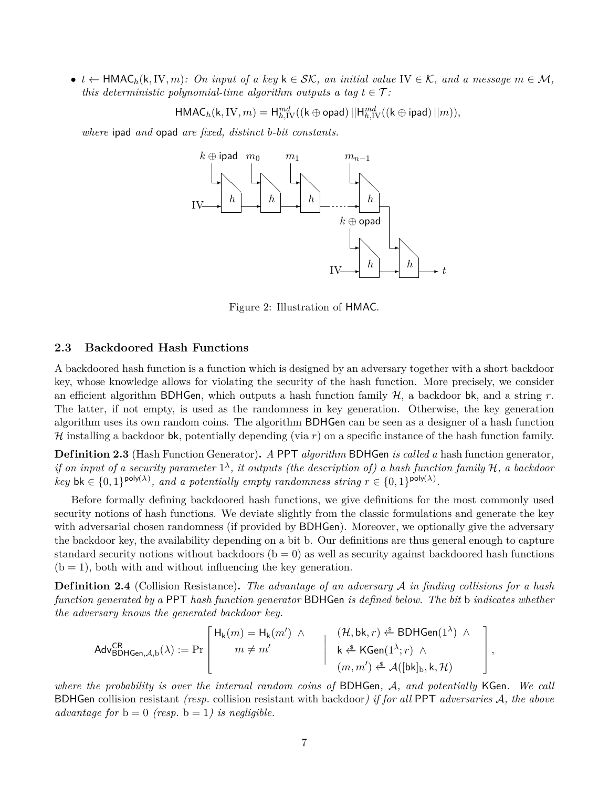•  $t \leftarrow \text{HMAC}_h(k, \text{IV}, m)$ *: On input of a key*  $k \in \mathcal{SK}$ *, an initial value* IV ∈ K*, and a message*  $m \in \mathcal{M}$ *, this deterministic polynomial-time algorithm outputs a tag*  $t \in \mathcal{T}$ :

$$
\mathsf{HMAC}_h(\mathsf{k}, \mathrm{IV}, m) = \mathsf{H}^{md}_{h,\mathrm{IV}}((\mathsf{k} \oplus \mathsf{opad}) \, || \mathsf{H}^{md}_{h,\mathrm{IV}}((\mathsf{k} \oplus \mathsf{ipad}) \, || m)),
$$

*where* ipad *and* opad *are fixed, distinct b-bit constants.*



Figure 2: Illustration of HMAC.

## <span id="page-6-0"></span>**2.3 Backdoored Hash Functions**

A backdoored hash function is a function which is designed by an adversary together with a short backdoor key, whose knowledge allows for violating the security of the hash function. More precisely, we consider an efficient algorithm BDHGen, which outputs a hash function family H, a backdoor bk, and a string *r*. The latter, if not empty, is used as the randomness in key generation. Otherwise, the key generation algorithm uses its own random coins. The algorithm BDHGen can be seen as a designer of a hash function H installing a backdoor bk, potentially depending (via *r*) on a specific instance of the hash function family.

**Def inition 2.3** (Hash Function Generator)**.** *A* PPT *algorithm* BDHGen *is called a* hash function generator*, if on input of a security parameter*  $1^{\lambda}$ , *it outputs (the description of) a hash function family*  $H$ , *a backdoor key* bk  $\in \{0,1\}^{poly(\lambda)}$ , and a potentially empty randomness string  $r \in \{0,1\}^{poly(\lambda)}$ .

Before formally defining backdoored hash functions, we give definitions for the most commonly used security notions of hash functions. We deviate slightly from the classic formulations and generate the key with adversarial chosen randomness (if provided by BDHGen). Moreover, we optionally give the adversary the backdoor key, the availability depending on a bit b. Our definitions are thus general enough to capture standard security notions without backdoors  $(b = 0)$  as well as security against backdoored hash functions  $(b = 1)$ , both with and without influencing the key generation.

**Def inition 2.4** (Collision Resistance)**.** *The advantage of an adversary* A *in finding collisions for a hash function generated by a* PPT *hash function generator* BDHGen *is defined below. The bit* b *indicates whether the adversary knows the generated backdoor key.*

$$
\mathsf{Adv}^{\mathsf{CR}}_{\mathsf{BDHGen},\mathcal{A},\mathsf{b}}(\lambda) := \Pr\left[\begin{array}{ccc} \mathsf{H}_{\mathsf{k}}(m) = \mathsf{H}_{\mathsf{k}}(m') & \wedge & (\mathcal{H},\mathsf{bk},r) \overset{\hspace{0.1em}\mathsf{\scriptscriptstyle\$}}{\leftarrow} \mathsf{BDHGen}(1^{\lambda}) & \wedge \\ m \neq m' & & \hspace{0.15em} \mid & \hspace{0.15em} \kappa \overset{\hspace{0.1em}\mathsf{\scriptscriptstyle\$}}{\leftarrow} \mathsf{KGen}(1^{\lambda};r) & \wedge \\ (m,m') \overset{\hspace{0.1em}\mathsf{\scriptscriptstyle\$}}{\leftarrow} \mathcal{A}([\mathsf{bk}]_{\mathsf{b}},\mathsf{k},\mathcal{H}) \end{array}\right],
$$

*where the probability is over the internal random coins of* BDHGen*,* A*, and potentially* KGen*. We call* BDHGen collision resistant *(resp.* collision resistant with backdoor*) if for all* PPT *adversaries* A*, the above advantage for*  $b = 0$  *(resp.*  $b = 1$ *) is negligible.*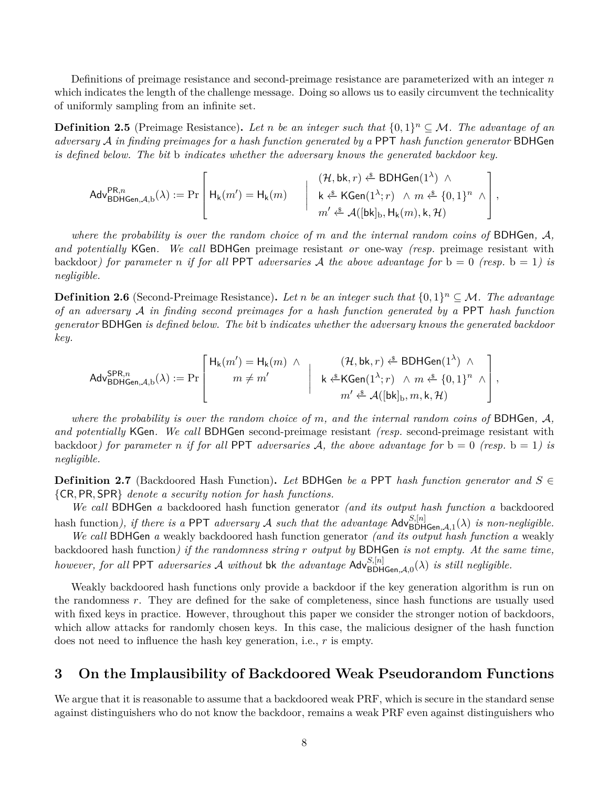Definitions of preimage resistance and second-preimage resistance are parameterized with an integer *n* which indicates the length of the challenge message. Doing so allows us to easily circumvent the technicality of uniformly sampling from an infinite set.

**Definition 2.5** (Preimage Resistance). Let *n* be an integer such that  $\{0,1\}^n \subseteq \mathcal{M}$ . The advantage of an *adversary* A *in finding preimages for a hash function generated by a* PPT *hash function generator* BDHGen *is defined below. The bit* b *indicates whether the adversary knows the generated backdoor key.*

*,*

$$
\mathsf{Adv}^{\mathsf{PR},n}_{\mathsf{BDHGen},\mathcal{A},\mathsf{b}}(\lambda) := \Pr\left[\begin{array}{c} \mathsf{H}_{\mathsf{k}}(m') = \mathsf{H}_{\mathsf{k}}(m) \qquad \Big| \quad \begin{array}{c} (\mathcal{H},\mathsf{bk},r) \overset{\hspace{0.1em}\mathsf{\scriptscriptstyle\$}}{\leftarrow} \mathsf{BDHGen}(1^{\lambda}) \;\wedge \\[1.5mm] \mathsf{k} \overset{\hspace{0.1em}\mathsf{\scriptscriptstyle\$}}{\leftarrow} \mathsf{KGen}(1^{\lambda};r) \;\wedge \; m \overset{\hspace{0.1em}\mathsf{\scriptscriptstyle\$}}{\leftarrow} \{0,1\}^n \;\wedge \\[1.5mm] m' \overset{\hspace{0.1em}\mathsf{\scriptscriptstyle\$}}{\leftarrow} \mathcal{A}([\mathsf{bk}]_{\mathsf{b}},\mathsf{H}_{\mathsf{k}}(m),\mathsf{k},\mathcal{H}) \end{array} \right] \end{array}\right.
$$

*where the probability is over the random choice of m and the internal random coins of* BDHGen*,* A*, and potentially* KGen*. We call* BDHGen preimage resistant *or* one-way *(resp.* preimage resistant with backdoor*)* for parameter *n* if for all PPT adversaries A the above advantage for  $b = 0$  (resp.  $b = 1$ ) is *negligible.*

**Definition 2.6** (Second-Preimage Resistance). Let *n* be an integer such that  $\{0,1\}^n \subseteq \mathcal{M}$ . The advantage *of an adversary* A *in finding second preimages for a hash function generated by a* PPT *hash function generator* BDHGen *is defined below. The bit* b *indicates whether the adversary knows the generated backdoor key.*

$$
\mathsf{Adv}^{\mathsf{SPR},n}_{\mathsf{BDHGen},\mathcal{A},\mathsf{b}}(\lambda) := \Pr\left[\begin{array}{c|c} \mathsf{H}_{\mathsf{k}}(m') = \mathsf{H}_{\mathsf{k}}(m) & \wedge & (\mathcal{H},\mathsf{bk},r) \stackrel{\hspace{0.1em}\mathsf{\scriptscriptstyle\$}}{\mathsf{=}}\mathsf{BDHGen}(1^{\lambda}) & \wedge \\ m \neq m' & & \wedge & \mathsf{rk} \stackrel{\hspace{0.1em}\mathsf{\scriptscriptstyle\$}}{\mathsf{=}}\mathsf{KGen}(1^{\lambda};r) & \wedge m \stackrel{\hspace{0.1em}\mathsf{\scriptscriptstyle\$}}{\mathsf{=}}\{0,1\}^n & \wedge \\ m' \stackrel{\hspace{0.1em}\mathsf{\scriptscriptstyle\$}}{\mathsf{=}}\mathcal{A}([{\sf bk}]_{\mathsf{b}},m,{\mathsf{k}},\mathcal{H}) \end{array}\right],
$$

*where the probability is over the random choice of m, and the internal random coins of* BDHGen*,* A*, and potentially* KGen*. We call* BDHGen second-preimage resistant *(resp.* second-preimage resistant with backdoor) for parameter *n* if for all PPT adversaries A, the above advantage for  $b = 0$  (resp.  $b = 1$ ) is *negligible.*

**Definition 2.7** (Backdoored Hash Function). Let BDHGen be a PPT hash function generator and  $S \in$ {CR*,* PR*,* SPR} *denote a security notion for hash functions.*

*We call* BDHGen *a* backdoored hash function generator *(and its output hash function a* backdoored hash function), if there is a PPT adversary A such that the advantage  $\mathsf{Adv}_{\mathsf{BDHGen},\mathcal{A},1}^{S,[n]}(\lambda)$  is non-negligible.

*We call* BDHGen *a* weakly backdoored hash function generator *(and its output hash function a* weakly backdoored hash function*) if the randomness string r output by* BDHGen *is not empty. At the same time, however, for all* PPT *adversaries* A *without* bk *the advantage*  $\mathsf{Adv}^{S,[n]}_{\mathsf{BDHGen},\mathcal{A},0}(\lambda)$  *is still negligible.* 

Weakly backdoored hash functions only provide a backdoor if the key generation algorithm is run on the randomness *r*. They are defined for the sake of completeness, since hash functions are usually used with fixed keys in practice. However, throughout this paper we consider the stronger notion of backdoors, which allow attacks for randomly chosen keys. In this case, the malicious designer of the hash function does not need to influence the hash key generation, i.e., *r* is empty.

## <span id="page-7-0"></span>**3 On the Implausibility of Backdoored Weak Pseudorandom Functions**

We argue that it is reasonable to assume that a backdoored weak PRF, which is secure in the standard sense against distinguishers who do not know the backdoor, remains a weak PRF even against distinguishers who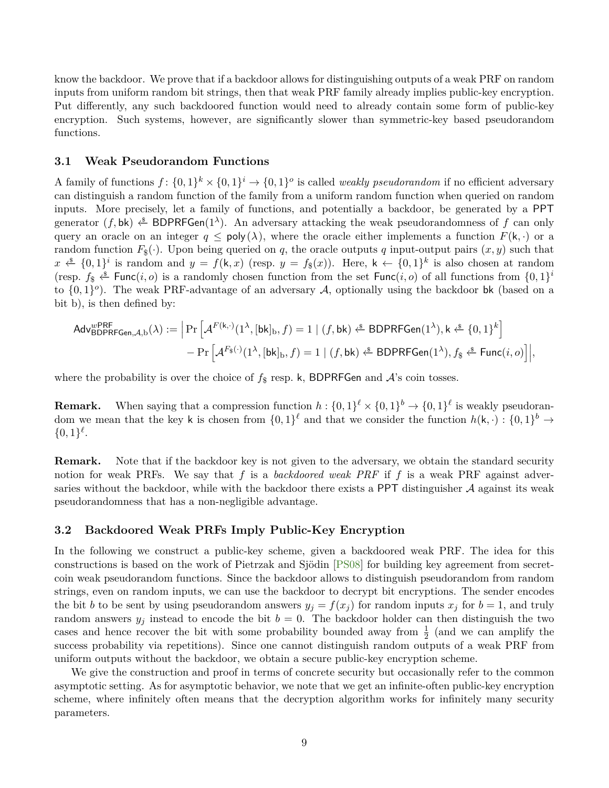<span id="page-8-0"></span>know the backdoor. We prove that if a backdoor allows for distinguishing outputs of a weak PRF on random inputs from uniform random bit strings, then that weak PRF family already implies public-key encryption. Put differently, any such backdoored function would need to already contain some form of public-key encryption. Such systems, however, are significantly slower than symmetric-key based pseudorandom functions.

## **3.1 Weak Pseudorandom Functions**

A family of functions  $f: \{0,1\}^k \times \{0,1\}^i \to \{0,1\}^o$  is called *weakly pseudorandom* if no efficient adversary can distinguish a random function of the family from a uniform random function when queried on random inputs. More precisely, let a family of functions, and potentially a backdoor, be generated by a PPT generator  $(f, \mathsf{bk}) \xleftarrow{\$} BDPRFGen(1^{\lambda})$ . An adversary attacking the weak pseudorandomness of f can only query an oracle on an integer  $q \leq \text{poly}(\lambda)$ , where the oracle either implements a function  $F(k, \cdot)$  or a random function  $F_{\$}(\cdot)$ . Upon being queried on *q*, the oracle outputs *q* input-output pairs  $(x, y)$  such that *x*  $\overset{\&}{\le}$  {0, 1}<sup>*i*</sup> is random and *y* = *f*(k, *x*) (resp. *y* = *f*<sub>\$</sub>(*x*)). Here, k ← {0, 1}<sup>*k*</sup> is also chosen at random (resp.  $f_{\$} \xleftarrow{\$} \text{Func}(i, o)$  is a randomly chosen function from the set  $\text{Func}(i, o)$  of all functions from  $\{0, 1\}^i$ to  $\{0,1\}^o$ ). The weak PRF-advantage of an adversary A, optionally using the backdoor bk (based on a bit b), is then defined by:

$$
\mathsf{Adv}_{\mathsf{BDPRFGen},\mathcal{A},b}^{\mathsf{wPRF}}(\lambda) := \Big|\Pr\Big[\mathcal{A}^{F(\mathsf{k},\cdot)}(1^\lambda,[\mathsf{bk}]_\mathsf{b},f) = 1 \mid (f,\mathsf{bk}) \xleftarrow{\$} \mathsf{BDPRFGen}(1^\lambda), \mathsf{k} \xleftarrow{\$} \{0,1\}^k\Big] \\ - \Pr\Big[\mathcal{A}^{F_\$(\cdot)}(1^\lambda,[\mathsf{bk}]_\mathsf{b},f) = 1 \mid (f,\mathsf{bk}) \xleftarrow{\$} \mathsf{BDPRFGen}(1^\lambda), f_\$ \xleftarrow{\$} \mathsf{Func}(i,o)\Big]\Big|,
$$

where the probability is over the choice of  $f_{\$}$  resp. k, BDPRFGen and  $\mathcal{A}$ 's coin tosses.

**Remark.** When saying that a compression function  $h: \{0,1\}^{\ell} \times \{0,1\}^{\ell} \to \{0,1\}^{\ell}$  is weakly pseudorandom we mean that the key k is chosen from  $\{0,1\}^{\ell}$  and that we consider the function  $h(\mathsf{k},\cdot): \{0,1\}^b \to$  $\{0,1\}^{\ell}$ .

**Remark.** Note that if the backdoor key is not given to the adversary, we obtain the standard security notion for weak PRFs. We say that *f* is a *backdoored weak PRF* if *f* is a weak PRF against adversaries without the backdoor, while with the backdoor there exists a PPT distinguisher  $A$  against its weak pseudorandomness that has a non-negligible advantage.

## **3.2 Backdoored Weak PRFs Imply Public-Key Encryption**

In the following we construct a public-key scheme, given a backdoored weak PRF. The idea for this constructions is based on the work of Pietrzak and Sjödin [\[PS08\]](#page-29-0) for building key agreement from secretcoin weak pseudorandom functions. Since the backdoor allows to distinguish pseudorandom from random strings, even on random inputs, we can use the backdoor to decrypt bit encryptions. The sender encodes the bit *b* to be sent by using pseudorandom answers  $y_j = f(x_j)$  for random inputs  $x_j$  for  $b = 1$ , and truly random answers  $y_j$  instead to encode the bit  $b = 0$ . The backdoor holder can then distinguish the two cases and hence recover the bit with some probability bounded away from  $\frac{1}{2}$  (and we can amplify the success probability via repetitions). Since one cannot distinguish random outputs of a weak PRF from uniform outputs without the backdoor, we obtain a secure public-key encryption scheme.

We give the construction and proof in terms of concrete security but occasionally refer to the common asymptotic setting. As for asymptotic behavior, we note that we get an infinite-often public-key encryption scheme, where infinitely often means that the decryption algorithm works for infinitely many security parameters.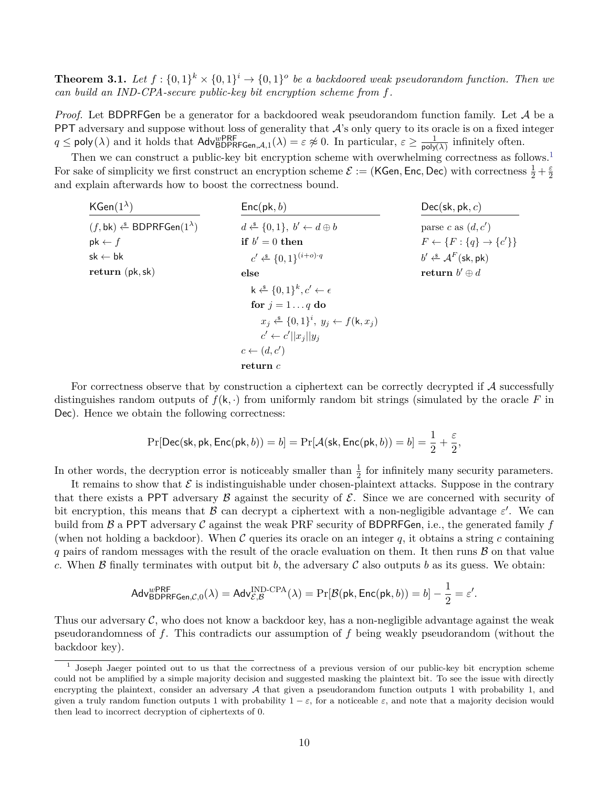**Theorem 3.1.** Let  $f: \{0,1\}^k \times \{0,1\}^i \to \{0,1\}^o$  be a backdoored weak pseudorandom function. Then we *can build an IND-CPA-secure public-key bit encryption scheme from f.*

*Proof.* Let BDPRFGen be a generator for a backdoored weak pseudorandom function family. Let A be a PPT adversary and suppose without loss of generality that  $A$ 's only query to its oracle is on a fixed integer  $q \leq \text{poly}(\lambda)$  and it holds that  $\text{Adv}_{\text{BDPRFGen},\mathcal{A},1}^{\text{wPRF}}(\lambda) = \varepsilon \not\approx 0$ . In particular,  $\varepsilon \geq \frac{1}{\text{poly}}$  $\frac{1}{\text{poly}(\lambda)}$  infinitely often.

Then we can construct a public-key bit encryption scheme with overwhelming correctness as follows.<sup>[1](#page-9-0)</sup> For sake of simplicity we first construct an encryption scheme  $\mathcal{E} := (\mathsf{KGen}, \mathsf{Enc}, \mathsf{Dec})$  with correctness  $\frac{1}{2} + \frac{\varepsilon}{2}$  $\overline{2}$ and explain afterwards how to boost the correctness bound.

| $KGen(1^{\lambda})$                             | $Enc(\mathsf{pk}, b)$                                           | $Dec(\mathsf{sk}, \mathsf{pk}, c)$                                                                              |  |  |
|-------------------------------------------------|-----------------------------------------------------------------|-----------------------------------------------------------------------------------------------------------------|--|--|
| $(f, bk) \xleftarrow{\$} BDPRFGen(1^{\lambda})$ | $d \leftarrow \{0,1\}, b' \leftarrow d \oplus b$                | parse c as $(d, c')$                                                                                            |  |  |
| $pk \leftarrow f$                               | if $b' = 0$ then                                                | $F \leftarrow \{F : \{q\} \rightarrow \{c'\}\}\$                                                                |  |  |
| $sk \leftarrow bk$                              | $c' \leftarrow \{0,1\}^{(i+o)\cdot q}$                          | $b' \stackrel{\hspace{0.1em}\mathsf{\scriptscriptstyle\$}}{\leftarrow} \mathcal{A}^F(\mathsf{sk}, \mathsf{pk})$ |  |  |
| return (pk, sk)                                 | else                                                            | return $b' \oplus d$                                                                                            |  |  |
|                                                 | $k \stackrel{\$}{\leftarrow} \{0,1\}^k, c' \leftarrow \epsilon$ |                                                                                                                 |  |  |
|                                                 | for $j = 1 \dots q$ do                                          |                                                                                                                 |  |  |
|                                                 | $x_i \leftarrow^{\$} \{0,1\}^i, y_j \leftarrow f(k, x_j)$       |                                                                                                                 |  |  |
|                                                 | $c' \leftarrow c'   x_i  y_i$                                   |                                                                                                                 |  |  |
|                                                 | $c \leftarrow (d, c')$                                          |                                                                                                                 |  |  |
|                                                 | return c                                                        |                                                                                                                 |  |  |

For correctness observe that by construction a ciphertext can be correctly decrypted if A successfully distinguishes random outputs of  $f(k, \cdot)$  from uniformly random bit strings (simulated by the oracle F in Dec). Hence we obtain the following correctness:

$$
\Pr[\mathsf{Dec}(\mathsf{sk}, \mathsf{pk}, \mathsf{Enc}(\mathsf{pk}, b)) = b] = \Pr[\mathcal{A}(\mathsf{sk}, \mathsf{Enc}(\mathsf{pk}, b)) = b] = \frac{1}{2} + \frac{\varepsilon}{2},
$$

In other words, the decryption error is noticeably smaller than  $\frac{1}{2}$  for infinitely many security parameters.

It remains to show that  $\mathcal E$  is indistinguishable under chosen-plaintext attacks. Suppose in the contrary that there exists a PPT adversary  $\beta$  against the security of  $\mathcal{E}$ . Since we are concerned with security of bit encryption, this means that  $\beta$  can decrypt a ciphertext with a non-negligible advantage  $\varepsilon'$ . We can build from  $\beta$  a PPT adversary  $\beta$  against the weak PRF security of BDPRFGen, i.e., the generated family  $f$ (when not holding a backdoor). When  $\mathcal C$  queries its oracle on an integer  $q$ , it obtains a string  $c$  containing  $q$  pairs of random messages with the result of the oracle evaluation on them. It then runs  $\beta$  on that value *c*. When B finally terminates with output bit *b*, the adversary C also outputs *b* as its guess. We obtain:

$$
\mathsf{Adv}_{\mathsf{BDPRFGen},\mathcal{C},0}^{\mathsf{wPRF}}(\lambda) = \mathsf{Adv}_{\mathcal{E},\mathcal{B}}^{\mathsf{IND}\text{-}\mathsf{CPA}}(\lambda) = \Pr[\mathcal{B}(\mathsf{pk},\mathsf{Enc}(\mathsf{pk},b)) = b] - \frac{1}{2} = \varepsilon'.
$$

Thus our adversary  $\mathcal{C}$ , who does not know a backdoor key, has a non-negligible advantage against the weak pseudorandomness of *f*. This contradicts our assumption of *f* being weakly pseudorandom (without the backdoor key).

<span id="page-9-0"></span><sup>1</sup> Joseph Jaeger pointed out to us that the correctness of a previous version of our public-key bit encryption scheme could not be amplified by a simple majority decision and suggested masking the plaintext bit. To see the issue with directly encrypting the plaintext, consider an adversary  $A$  that given a pseudorandom function outputs 1 with probability 1, and given a truly random function outputs 1 with probability  $1 - \varepsilon$ , for a noticeable  $\varepsilon$ , and note that a majority decision would then lead to incorrect decryption of ciphertexts of 0.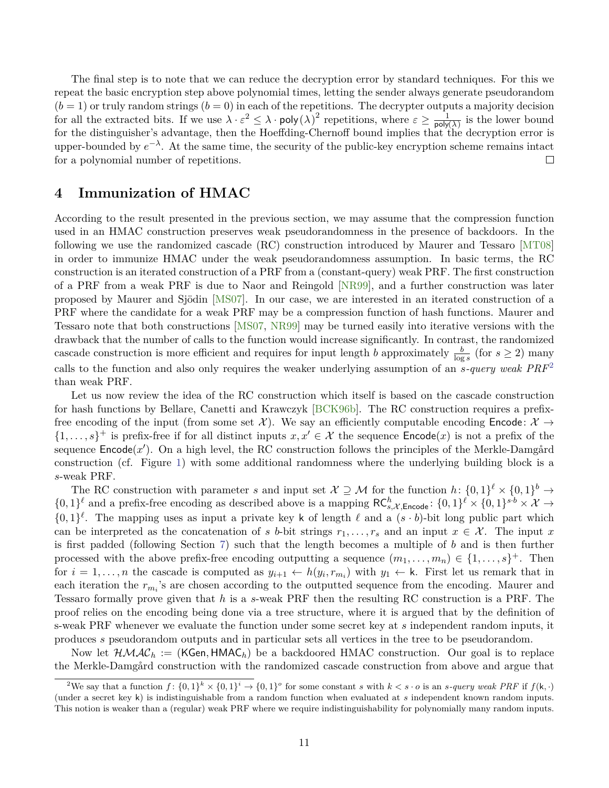<span id="page-10-2"></span>The final step is to note that we can reduce the decryption error by standard techniques. For this we repeat the basic encryption step above polynomial times, letting the sender always generate pseudorandom  $(b = 1)$  or truly random strings  $(b = 0)$  in each of the repetitions. The decrypter outputs a majority decision for all the extracted bits. If we use  $\lambda \cdot \varepsilon^2 \leq \lambda \cdot \text{poly}(\lambda)^2$  repetitions, where  $\varepsilon \geq \frac{1}{20}$  $\frac{1}{\text{poly}(\lambda)}$  is the lower bound for the distinguisher's advantage, then the Hoeffding-Chernoff bound implies that the decryption error is upper-bounded by  $e^{-\lambda}$ . At the same time, the security of the public-key encryption scheme remains intact for a polynomial number of repetitions.  $\Box$ 

# <span id="page-10-0"></span>**4 Immunization of HMAC**

According to the result presented in the previous section, we may assume that the compression function used in an HMAC construction preserves weak pseudorandomness in the presence of backdoors. In the following we use the randomized cascade (RC) construction introduced by Maurer and Tessaro [\[MT08\]](#page-29-1) in order to immunize HMAC under the weak pseudorandomness assumption. In basic terms, the RC construction is an iterated construction of a PRF from a (constant-query) weak PRF. The first construction of a PRF from a weak PRF is due to Naor and Reingold [\[NR99\]](#page-29-7), and a further construction was later proposed by Maurer and Sjödin [\[MS07\]](#page-29-8). In our case, we are interested in an iterated construction of a PRF where the candidate for a weak PRF may be a compression function of hash functions. Maurer and Tessaro note that both constructions [\[MS07,](#page-29-8) [NR99\]](#page-29-7) may be turned easily into iterative versions with the drawback that the number of calls to the function would increase significantly. In contrast, the randomized cascade construction is more efficient and requires for input length *b* approximately  $\frac{b}{\log s}$  (for  $s \geq 2$ ) many calls to the function and also only requires the weaker underlying assumption of an *s-query weak PRF*[2](#page-10-1) than weak PRF.

Let us now review the idea of the RC construction which itself is based on the cascade construction for hash functions by Bellare, Canetti and Krawczyk [\[BCK96b\]](#page-26-7). The RC construction requires a prefixfree encoding of the input (from some set X). We say an efficiently computable encoding **Encode**:  $\mathcal{X} \rightarrow$  $\{1,\ldots,s\}^+$  is prefix-free if for all distinct inputs  $x, x' \in \mathcal{X}$  the sequence  $\mathsf{Encode}(x)$  is not a prefix of the sequence Encode(x'). On a high level, the RC construction follows the principles of the Merkle-Damgård construction (cf. Figure [1\)](#page-5-0) with some additional randomness where the underlying building block is a *s*-weak PRF.

The RC construction with parameter *s* and input set  $\mathcal{X} \supseteq \mathcal{M}$  for the function  $h: \{0,1\}^{\ell} \times \{0,1\}^{\ell} \to$  $\{0,1\}^{\ell}$  and a prefix-free encoding as described above is a mapping  $\mathsf{RC}_{s,\mathcal{X}, \mathsf{Encode}}^h: \{0,1\}^{\ell} \times \{0,1\}^{s \cdot b} \times \mathcal{X} \to$  $\{0,1\}^{\ell}$ . The mapping uses as input a private key k of length  $\ell$  and a  $(s \cdot b)$ -bit long public part which can be interpreted as the concatenation of *s b*-bit strings  $r_1, \ldots, r_s$  and an input  $x \in \mathcal{X}$ . The input *x* is first padded (following Section [7\)](#page-17-0) such that the length becomes a multiple of *b* and is then further processed with the above prefix-free encoding outputting a sequence  $(m_1, \ldots, m_n) \in \{1, \ldots, s\}^+$ . Then for  $i = 1, \ldots, n$  the cascade is computed as  $y_{i+1} \leftarrow h(y_i, r_{m_i})$  with  $y_1 \leftarrow \mathsf{k}$ . First let us remark that in each iteration the  $r_{m_i}$ 's are chosen according to the outputted sequence from the encoding. Maurer and Tessaro formally prove given that *h* is a *s*-weak PRF then the resulting RC construction is a PRF. The proof relies on the encoding being done via a tree structure, where it is argued that by the definition of s-weak PRF whenever we evaluate the function under some secret key at *s* independent random inputs, it produces *s* pseudorandom outputs and in particular sets all vertices in the tree to be pseudorandom.

Now let  $\mathcal{HMLC}_h := (KGen, HMAC_h)$  be a backdoored HMAC construction. Our goal is to replace the Merkle-Damgård construction with the randomized cascade construction from above and argue that

<span id="page-10-1"></span><sup>&</sup>lt;sup>2</sup>We say that a function  $f: \{0,1\}^k \times \{0,1\}^i \to \{0,1\}^o$  for some constant s with  $k < s \cdot o$  is an s-query weak PRF if  $f(k, \cdot)$ (under a secret key k) is indistinguishable from a random function when evaluated at *s* independent known random inputs. This notion is weaker than a (regular) weak PRF where we require indistinguishability for polynomially many random inputs.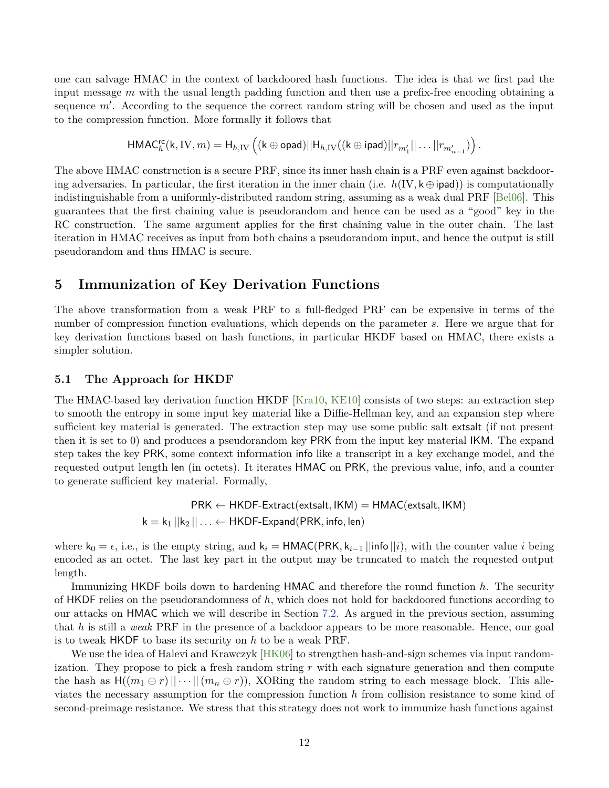<span id="page-11-1"></span>one can salvage HMAC in the context of backdoored hash functions. The idea is that we first pad the input message *m* with the usual length padding function and then use a prefix-free encoding obtaining a sequence  $m'$ . According to the sequence the correct random string will be chosen and used as the input to the compression function. More formally it follows that

$$
\mathsf{HMAC}^{\mathsf{rc}}_h(\mathsf{k},\mathrm{IV},m) = \mathsf{H}_{h,\mathrm{IV}}\left( (\mathsf{k} \oplus \mathsf{opad}) || \mathsf{H}_{h,\mathrm{IV}}((\mathsf{k} \oplus \mathsf{ipad}) || r_{m_1'} || \dots || r_{m_{n-1}'} ) \right).
$$

The above HMAC construction is a secure PRF, since its inner hash chain is a PRF even against backdooring adversaries. In particular, the first iteration in the inner chain (i.e.  $h(\mathrm{IV}, k \oplus \mathrm{ipad})$ ) is computationally indistinguishable from a uniformly-distributed random string, assuming as a weak dual PRF [\[Bel06\]](#page-26-8). This guarantees that the first chaining value is pseudorandom and hence can be used as a "good" key in the RC construction. The same argument applies for the first chaining value in the outer chain. The last iteration in HMAC receives as input from both chains a pseudorandom input, and hence the output is still pseudorandom and thus HMAC is secure.

# <span id="page-11-0"></span>**5 Immunization of Key Derivation Functions**

The above transformation from a weak PRF to a full-fledged PRF can be expensive in terms of the number of compression function evaluations, which depends on the parameter *s*. Here we argue that for key derivation functions based on hash functions, in particular HKDF based on HMAC, there exists a simpler solution.

## **5.1 The Approach for HKDF**

The HMAC-based key derivation function HKDF [\[Kra10,](#page-29-9) [KE10\]](#page-28-8) consists of two steps: an extraction step to smooth the entropy in some input key material like a Diffie-Hellman key, and an expansion step where sufficient key material is generated. The extraction step may use some public salt extsalt (if not present then it is set to 0) and produces a pseudorandom key PRK from the input key material IKM. The expand step takes the key PRK, some context information info like a transcript in a key exchange model, and the requested output length len (in octets). It iterates HMAC on PRK, the previous value, info, and a counter to generate sufficient key material. Formally,

> PRK ← HKDF-Extract(extsalt*,* IKM) = HMAC(extsalt*,* IKM)  $k = k_1 ||k_2 || \ldots \leftarrow$  HKDF-Expand(PRK, info, len)

where  $k_0 = \epsilon$ , i.e., is the empty string, and  $k_i = \text{HMAC}(\text{PRK}, k_{i-1} || \text{info} || i)$ , with the counter value *i* being encoded as an octet. The last key part in the output may be truncated to match the requested output length.

Immunizing HKDF boils down to hardening HMAC and therefore the round function *h*. The security of HKDF relies on the pseudorandomness of *h*, which does not hold for backdoored functions according to our attacks on HMAC which we will describe in Section [7.2.](#page-20-0) As argued in the previous section, assuming that *h* is still a *weak* PRF in the presence of a backdoor appears to be more reasonable. Hence, our goal is to tweak HKDF to base its security on *h* to be a weak PRF.

We use the idea of Halevi and Krawczyk [\[HK06\]](#page-28-1) to strengthen hash-and-sign schemes via input randomization. They propose to pick a fresh random string *r* with each signature generation and then compute the hash as  $H((m_1 \oplus r) \mid \cdots \mid (m_n \oplus r))$ , XORing the random string to each message block. This alleviates the necessary assumption for the compression function *h* from collision resistance to some kind of second-preimage resistance. We stress that this strategy does not work to immunize hash functions against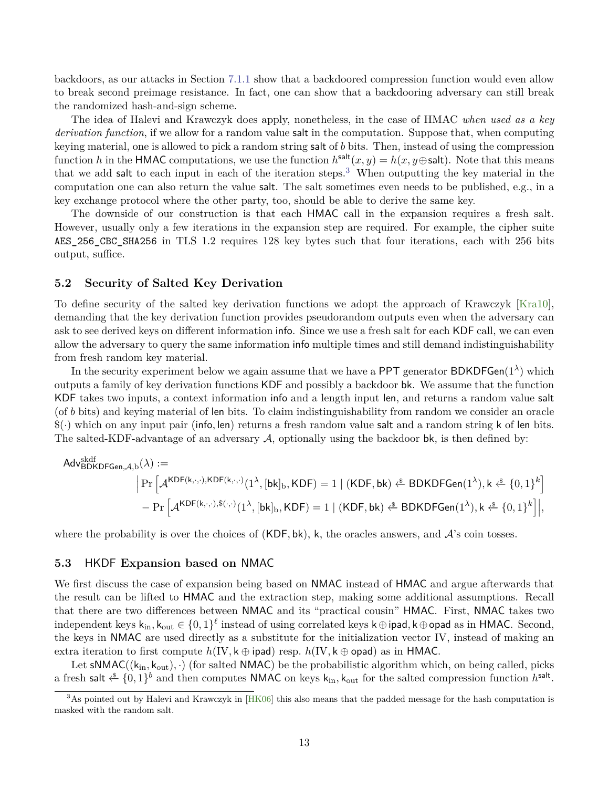<span id="page-12-1"></span>backdoors, as our attacks in Section [7.1.1](#page-19-0) show that a backdoored compression function would even allow to break second preimage resistance. In fact, one can show that a backdooring adversary can still break the randomized hash-and-sign scheme.

The idea of Halevi and Krawczyk does apply, nonetheless, in the case of HMAC *when used as a key derivation function*, if we allow for a random value salt in the computation. Suppose that, when computing keying material, one is allowed to pick a random string salt of *b* bits. Then, instead of using the compression function *h* in the HMAC computations, we use the function  $h^{\text{salt}}(x, y) = h(x, y \oplus \text{salt})$ . Note that this means that we add salt to each input in each of the iteration steps.<sup>[3](#page-12-0)</sup> When outputting the key material in the computation one can also return the value salt. The salt sometimes even needs to be published, e.g., in a key exchange protocol where the other party, too, should be able to derive the same key.

The downside of our construction is that each HMAC call in the expansion requires a fresh salt. However, usually only a few iterations in the expansion step are required. For example, the cipher suite AES\_256\_CBC\_SHA256 in TLS 1.2 requires 128 key bytes such that four iterations, each with 256 bits output, suffice.

## **5.2 Security of Salted Key Derivation**

To define security of the salted key derivation functions we adopt the approach of Krawczyk [\[Kra10\]](#page-29-9), demanding that the key derivation function provides pseudorandom outputs even when the adversary can ask to see derived keys on different information info. Since we use a fresh salt for each KDF call, we can even allow the adversary to query the same information info multiple times and still demand indistinguishability from fresh random key material.

In the security experiment below we again assume that we have a PPT generator BDKDFGen( $1^{\lambda}$ ) which outputs a family of key derivation functions KDF and possibly a backdoor bk. We assume that the function KDF takes two inputs, a context information info and a length input len, and returns a random value salt (of *b* bits) and keying material of len bits. To claim indistinguishability from random we consider an oracle \$(·) which on any input pair (info*,* len) returns a fresh random value salt and a random string k of len bits. The salted-KDF-advantage of an adversary  $A$ , optionally using the backdoor bk, is then defined by:

$$
\begin{aligned} \mathsf{Adv}_{\mathsf{BDKDFGen},\mathcal{A},b}^{\mathsf{skdf}}(\lambda) := \\ & \Big|\Pr\Big[\mathcal{A}^{\mathsf{KDF}(\mathsf{k},\cdot,\cdot),\mathsf{KDF}(\mathsf{k},\cdot,\cdot)}(1^\lambda,[\mathsf{bk}]_{\mathsf{b}},\mathsf{KDF}) = 1 \mid (\mathsf{KDF},\mathsf{bk}) \overset{\hspace{0.1em}\mathsf{\scriptscriptstyle\$}}{\leftarrow} \mathsf{BDKDFGen}(1^\lambda), \mathsf{k} \overset{\hspace{0.1em}\mathsf{\scriptscriptstyle\$}}{\leftarrow} \{0,1\}^k \Big] \\ & - \Pr\Big[\mathcal{A}^{\mathsf{KDF}(\mathsf{k},\cdot,\cdot),\$(\cdot,\cdot)}(1^\lambda,[\mathsf{bk}]_{\mathsf{b}},\mathsf{KDF}) = 1 \mid (\mathsf{KDF},\mathsf{bk}) \overset{\hspace{0.1em}\mathsf{\scriptscriptstyle\$}}{\leftarrow} \mathsf{BDKDFGen}(1^\lambda), \mathsf{k} \overset{\hspace{0.1em}\mathsf{\scriptscriptstyle\$}}{\leftarrow} \{0,1\}^k \Big]\Big|, \end{aligned}
$$

where the probability is over the choices of  $(KDF, bk)$ , k, the oracles answers, and  $A$ 's coin tosses.

## **5.3** HKDF **Expansion based on** NMAC

We first discuss the case of expansion being based on NMAC instead of HMAC and argue afterwards that the result can be lifted to HMAC and the extraction step, making some additional assumptions. Recall that there are two differences between NMAC and its "practical cousin" HMAC. First, NMAC takes two independent keys k<sub>in</sub>, k<sub>out</sub> ∈ {0,1}<sup>ℓ</sup> instead of using correlated keys k⊕ipad, k⊕opad as in HMAC. Second, the keys in NMAC are used directly as a substitute for the initialization vector IV, instead of making an extra iteration to first compute  $h(\text{IV}, \mathsf{k} \oplus \text{ipad})$  resp.  $h(\text{IV}, \mathsf{k} \oplus \text{opad})$  as in HMAC.

Let  $sNMAC((k_{in}, k_{out}), \cdot)$  (for salted NMAC) be the probabilistic algorithm which, on being called, picks a fresh salt  $\xi$  {0, 1}<sup>*b*</sup> and then computes NMAC on keys  $k_{in}$ ,  $k_{out}$  for the salted compression function  $h^{salt}$ .

<span id="page-12-0"></span><sup>&</sup>lt;sup>3</sup>As pointed out by Halevi and Krawczyk in [\[HK06\]](#page-28-1) this also means that the padded message for the hash computation is masked with the random salt.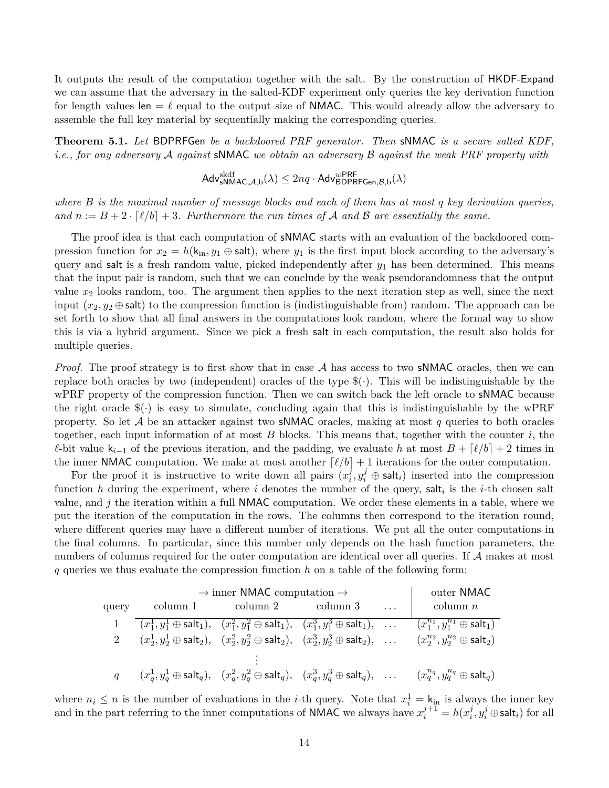It outputs the result of the computation together with the salt. By the construction of HKDF-Expand we can assume that the adversary in the salted-KDF experiment only queries the key derivation function for length values len  $=\ell$  equal to the output size of **NMAC**. This would already allow the adversary to assemble the full key material by sequentially making the corresponding queries.

**Theorem 5.1.** *Let* BDPRFGen *be a backdoored PRF generator. Then* sNMAC *is a secure salted KDF, i.e., for any adversary* A *against* sNMAC *we obtain an adversary* B *against the weak PRF property with*

$$
\mathsf{Adv}_{\mathsf{sNMAC},\mathcal{A},b}^{\mathsf{skdf}}(\lambda) \le 2nq \cdot \mathsf{Adv}_{\mathsf{BDPRFGen},\mathcal{B},b}^{\mathsf{wPRF}}(\lambda)
$$

*where B is the maximal number of message blocks and each of them has at most q key derivation queries, and*  $n := B + 2 \cdot \lceil \ell/b \rceil + 3$ . Furthermore the run times of A and B are essentially the same.

The proof idea is that each computation of sNMAC starts with an evaluation of the backdoored compression function for  $x_2 = h(k_{\text{in}}, y_1 \oplus \text{salt})$ , where  $y_1$  is the first input block according to the adversary's query and salt is a fresh random value, picked independently after *y*<sup>1</sup> has been determined. This means that the input pair is random, such that we can conclude by the weak pseudorandomness that the output value *x*<sup>2</sup> looks random, too. The argument then applies to the next iteration step as well, since the next input  $(x_2, y_2 \oplus \text{salt})$  to the compression function is (indistinguishable from) random. The approach can be set forth to show that all final answers in the computations look random, where the formal way to show this is via a hybrid argument. Since we pick a fresh salt in each computation, the result also holds for multiple queries.

*Proof.* The proof strategy is to first show that in case A has access to two sNMAC oracles, then we can replace both oracles by two (independent) oracles of the type  $\mathcal{F}(\cdot)$ . This will be indistinguishable by the wPRF property of the compression function. Then we can switch back the left oracle to sNMAC because the right oracle  $(\hat{\mathcal{S}}(\cdot))$  is easy to simulate, concluding again that this is indistinguishable by the wPRF property. So let A be an attacker against two sNMAC oracles, making at most *q* queries to both oracles together, each input information of at most *B* blocks. This means that, together with the counter *i*, the *l*-bit value  $k_{i-1}$  of the previous iteration, and the padding, we evaluate *h* at most  $B + \lceil l/b \rceil + 2$  times in the inner NMAC computation. We make at most another  $\lceil \ell/b \rceil + 1$  iterations for the outer computation.

For the proof it is instructive to write down all pairs  $(x_i^j)$  $\hat{y}^j_i, y^j_i \oplus \mathsf{salt}_i)$  inserted into the compression function *h* during the experiment, where *i* denotes the number of the query, salt*<sup>i</sup>* is the *i*-th chosen salt value, and *j* the iteration within a full NMAC computation. We order these elements in a table, where we put the iteration of the computation in the rows. The columns then correspond to the iteration round, where different queries may have a different number of iterations. We put all the outer computations in the final columns. In particular, since this number only depends on the hash function parameters, the numbers of columns required for the outer computation are identical over all queries. If A makes at most *q* queries we thus evaluate the compression function *h* on a table of the following form:

| $\rightarrow$ inner NMAC computation $\rightarrow$ |          |                                                                                                                                                           |          | outer NMAC |                                                                                                                                                                                                     |
|----------------------------------------------------|----------|-----------------------------------------------------------------------------------------------------------------------------------------------------------|----------|------------|-----------------------------------------------------------------------------------------------------------------------------------------------------------------------------------------------------|
| query                                              | column 1 | column 2                                                                                                                                                  | column 3 | $\ldots$   | $\text{column } n$                                                                                                                                                                                  |
|                                                    |          | $\overline{(x_1^1, y_1^1 \oplus \mathsf{salt}_1)}, \quad (x_1^2, y_1^2 \oplus \mathsf{salt}_1), \quad (x_1^3, y_1^3 \oplus \mathsf{salt}_1), \quad \dots$ |          |            | $(x_1^{n_1}, y_1^{n_1} \oplus \textsf{salt}_1)$                                                                                                                                                     |
|                                                    |          | $(x_2^1, y_2^1 \oplus \mathsf{salt}_2), \quad (x_2^2, y_2^2 \oplus \mathsf{salt}_2), \quad (x_2^3, y_2^3 \oplus \mathsf{salt}_2), \quad \dots$            |          |            | $(x_2^{n_2}, y_2^{n_2} \oplus \mathsf{salt}_2)$                                                                                                                                                     |
|                                                    |          |                                                                                                                                                           |          |            |                                                                                                                                                                                                     |
|                                                    |          |                                                                                                                                                           |          |            | $(x_d^1, y_d^1 \oplus \mathsf{salt}_q), \quad (x_d^2, y_d^2 \oplus \mathsf{salt}_q), \quad (x_d^3, y_d^3 \oplus \mathsf{salt}_q), \quad \dots \qquad (x_q^{n_q}, y_q^{n_q} \oplus \mathsf{salt}_q)$ |

where  $n_i \leq n$  is the number of evaluations in the *i*-th query. Note that  $x_i^1 = k_{\text{in}}$  is always the inner key and in the part referring to the inner computations of **NMAC** we always have  $x_i^{j+1} = h(x_i^j)$  $i^j_i, y_i^j \oplus \mathsf{salt}_i) \text{ for all }$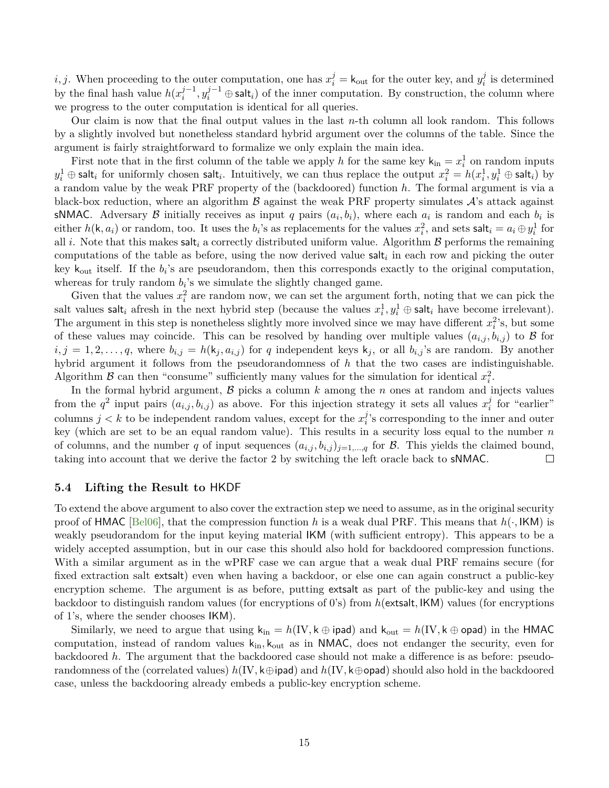<span id="page-14-0"></span>*i, j*. When proceeding to the outer computation, one has  $x_i^j = \mathsf{k}_{\text{out}}$  for the outer key, and  $y_i^j$  $i$ <sup> $j$ </sup> is determined by the final hash value  $h(x_i^{j-1})$  $y_i^{j-1}, y_i^{j-1}$  ⊕ salt<sub>*i*</sub>) of the inner computation. By construction, the column where we progress to the outer computation is identical for all queries.

Our claim is now that the final output values in the last *n*-th column all look random. This follows by a slightly involved but nonetheless standard hybrid argument over the columns of the table. Since the argument is fairly straightforward to formalize we only explain the main idea.

First note that in the first column of the table we apply *h* for the same key  $k_{in} = x_i^1$  on random inputs  $y_i^1 \oplus$  salt<sub>*i*</sub> for uniformly chosen salt<sub>*i*</sub>. Intuitively, we can thus replace the output  $x_i^2 = h(x_i^1, y_i^1 \oplus$  salt<sub>*i*</sub>) by a random value by the weak PRF property of the (backdoored) function *h*. The formal argument is via a black-box reduction, where an algorithm  $\beta$  against the weak PRF property simulates  $\mathcal{A}$ 's attack against sNMAC. Adversary  $\beta$  initially receives as input *q* pairs  $(a_i, b_i)$ , where each  $a_i$  is random and each  $b_i$  is either  $h(k, a_i)$  or random, too. It uses the  $b_i$ 's as replacements for the values  $x_i^2$ , and sets salt $i = a_i \oplus y_i^1$  for all *i*. Note that this makes salt<sub>i</sub> a correctly distributed uniform value. Algorithm  $\beta$  performs the remaining computations of the table as before, using the now derived value salt*<sup>i</sup>* in each row and picking the outer key  $k_{\text{out}}$  itself. If the  $b_i$ 's are pseudorandom, then this corresponds exactly to the original computation, whereas for truly random  $b_i$ 's we simulate the slightly changed game.

Given that the values  $x_i^2$  are random now, we can set the argument forth, noting that we can pick the salt values  $\text{salt}_i$  afresh in the next hybrid step (because the values  $x_i^1, y_i^1 \oplus \text{salt}_i$  have become irrelevant). The argument in this step is nonetheless slightly more involved since we may have different  $x_i^2$ 's, but some of these values may coincide. This can be resolved by handing over multiple values  $(a_{i,j}, b_{i,j})$  to  $\beta$  for  $i, j = 1, 2, \ldots, q$ , where  $b_{i,j} = h(k_j, a_{i,j})$  for *q* independent keys  $k_j$ , or all  $b_{i,j}$ 's are random. By another hybrid argument it follows from the pseudorandomness of *h* that the two cases are indistinguishable. Algorithm  $\beta$  can then "consume" sufficiently many values for the simulation for identical  $x_i^2$ .

In the formal hybrid argument,  $\beta$  picks a column  $k$  among the  $n$  ones at random and injects values from the  $q^2$  input pairs  $(a_{i,j}, b_{i,j})$  as above. For this injection strategy it sets all values  $x_i^j$  $\frac{J}{i}$  for "earlier" columns  $j < k$  to be independent random values, except for the  $x_i^j$  $j$ 's corresponding to the inner and outer key (which are set to be an equal random value). This results in a security loss equal to the number *n* of columns, and the number *q* of input sequences  $(a_{i,j}, b_{i,j})_{j=1,\dots,q}$  for B. This yields the claimed bound, taking into account that we derive the factor 2 by switching the left oracle back to sNMAC.  $\Box$ 

## **5.4 Lifting the Result to** HKDF

To extend the above argument to also cover the extraction step we need to assume, as in the original security proof of HMAC [\[Bel06\]](#page-26-8), that the compression function *h* is a weak dual PRF. This means that *h*(·*,* IKM) is weakly pseudorandom for the input keying material IKM (with sufficient entropy). This appears to be a widely accepted assumption, but in our case this should also hold for backdoored compression functions. With a similar argument as in the wPRF case we can argue that a weak dual PRF remains secure (for fixed extraction salt extsalt) even when having a backdoor, or else one can again construct a public-key encryption scheme. The argument is as before, putting extsalt as part of the public-key and using the backdoor to distinguish random values (for encryptions of 0's) from *h*(extsalt*,* IKM) values (for encryptions of 1's, where the sender chooses IKM).

Similarly, we need to argue that using  $k_{in} = h(IV, k \oplus \text{ipad})$  and  $k_{out} = h(IV, k \oplus \text{opad})$  in the HMAC computation, instead of random values kin*,* kout as in NMAC, does not endanger the security, even for backdoored *h*. The argument that the backdoored case should not make a difference is as before: pseudorandomness of the (correlated values) *h*(IV*,* k⊕ipad) and *h*(IV*,* k⊕opad) should also hold in the backdoored case, unless the backdooring already embeds a public-key encryption scheme.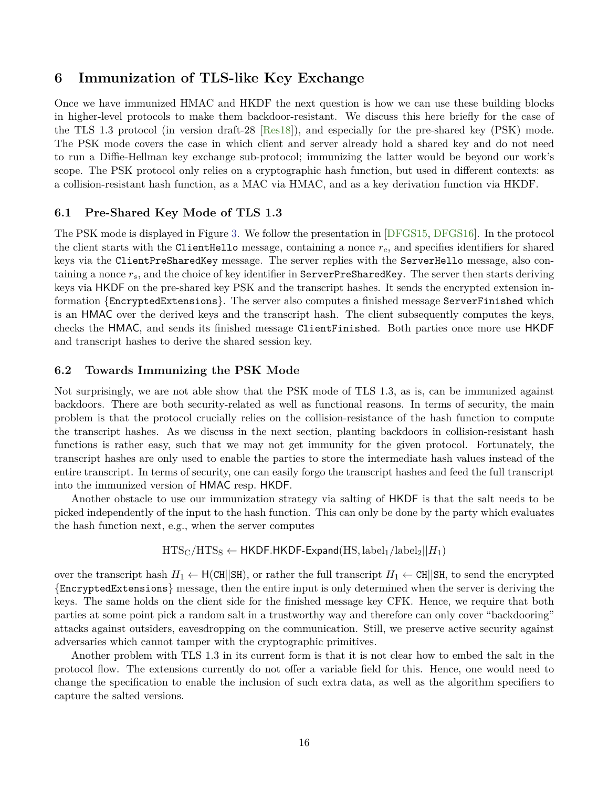# <span id="page-15-1"></span><span id="page-15-0"></span>**6 Immunization of TLS-like Key Exchange**

Once we have immunized HMAC and HKDF the next question is how we can use these building blocks in higher-level protocols to make them backdoor-resistant. We discuss this here briefly for the case of the TLS 1.3 protocol (in version draft-28 [\[Res18\]](#page-29-10)), and especially for the pre-shared key (PSK) mode. The PSK mode covers the case in which client and server already hold a shared key and do not need to run a Diffie-Hellman key exchange sub-protocol; immunizing the latter would be beyond our work's scope. The PSK protocol only relies on a cryptographic hash function, but used in different contexts: as a collision-resistant hash function, as a MAC via HMAC, and as a key derivation function via HKDF.

## **6.1 Pre-Shared Key Mode of TLS 1.3**

The PSK mode is displayed in Figure [3.](#page-16-0) We follow the presentation in [\[DFGS15,](#page-28-9) [DFGS16\]](#page-28-10). In the protocol the client starts with the ClientHello message, containing a nonce *rc*, and specifies identifiers for shared keys via the ClientPreSharedKey message. The server replies with the ServerHello message, also containing a nonce  $r_s$ , and the choice of key identifier in  $ServerPreSharedKey$ . The server then starts deriving keys via HKDF on the pre-shared key PSK and the transcript hashes. It sends the encrypted extension information {EncryptedExtensions}. The server also computes a finished message ServerFinished which is an HMAC over the derived keys and the transcript hash. The client subsequently computes the keys, checks the HMAC, and sends its finished message ClientFinished. Both parties once more use HKDF and transcript hashes to derive the shared session key.

## **6.2 Towards Immunizing the PSK Mode**

Not surprisingly, we are not able show that the PSK mode of TLS 1.3, as is, can be immunized against backdoors. There are both security-related as well as functional reasons. In terms of security, the main problem is that the protocol crucially relies on the collision-resistance of the hash function to compute the transcript hashes. As we discuss in the next section, planting backdoors in collision-resistant hash functions is rather easy, such that we may not get immunity for the given protocol. Fortunately, the transcript hashes are only used to enable the parties to store the intermediate hash values instead of the entire transcript. In terms of security, one can easily forgo the transcript hashes and feed the full transcript into the immunized version of HMAC resp. HKDF.

Another obstacle to use our immunization strategy via salting of HKDF is that the salt needs to be picked independently of the input to the hash function. This can only be done by the party which evaluates the hash function next, e.g., when the server computes

$$
HTS_C/HTS_S \leftarrow \text{HKDF.HKDF-Expand}(HS, label_1/label_2||H_1)
$$

over the transcript hash  $H_1 \leftarrow H(\text{CH}||\text{SH})$ , or rather the full transcript  $H_1 \leftarrow \text{CH}||\text{SH}$ , to send the encrypted {EncryptedExtensions} message, then the entire input is only determined when the server is deriving the keys. The same holds on the client side for the finished message key CFK. Hence, we require that both parties at some point pick a random salt in a trustworthy way and therefore can only cover "backdooring" attacks against outsiders, eavesdropping on the communication. Still, we preserve active security against adversaries which cannot tamper with the cryptographic primitives.

Another problem with TLS 1.3 in its current form is that it is not clear how to embed the salt in the protocol flow. The extensions currently do not offer a variable field for this. Hence, one would need to change the specification to enable the inclusion of such extra data, as well as the algorithm specifiers to capture the salted versions.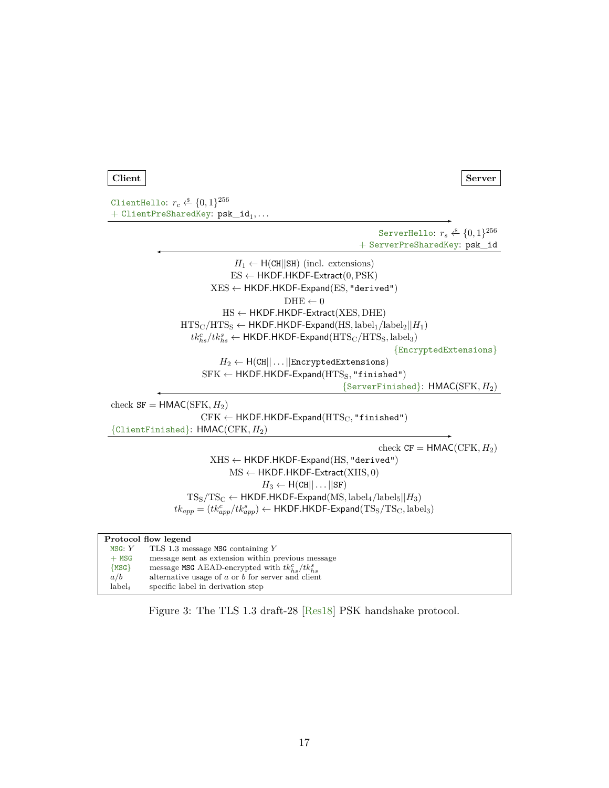```
Client Server
```
ClientHello:  $r_c \overset{\hspace{0.1em}\mathsf{\scriptscriptstyle\$}}{\leftarrow} \{0,1\}^{256}$  $+$  ClientPreSharedKey:  $psk_id_1, \ldots$ 

> ServerHello:  $r_s \overset{\hspace{0.1em}\mathsf{\scriptscriptstyle\$}}{\leftarrow} \{0,1\}^{256}$ + ServerPreSharedKey: psk\_id

 $H_1 \leftarrow H(CH||SH)$  (incl. extensions) ES ← HKDF*.*HKDF-Extract(0*,*PSK) XES ← HKDF*.*HKDF-Expand(ES*,* "derived")  $\text{DHE} \gets 0$ HS ← HKDF*.*HKDF-Extract(XES*,* DHE)  $HTS_C/HTS_S \leftarrow HKDF.HKDF-Expand(HS, label_1/label_2||H_1)$  $t k_{hs}^c / t k_{hs}^s \leftarrow \textsf{HKDF.HKDF-Expand}(\text{HTS}_\text{C}/\text{HTS}_\text{S}, \text{label}_3)$ {EncryptedExtensions}  $H_2 \leftarrow H(CH||...||\text{EncryptedExtensions})$  $SFK \leftarrow HKDF.HKDF-Expand (HTS<sub>S</sub>, "finished")$ {ServerFinished}: HMAC(SFK*, H*2) check  $SF = HMAC(SFK, H<sub>2</sub>)$  $CFK \leftarrow HKDF.HKDF-Expand (HTS<sub>C</sub>, "finiteed")$ {ClientFinished}: HMAC(CFK*, H*2) check  $CF = HMAC(CFK, H<sub>2</sub>)$ XHS ← HKDF*.*HKDF-Expand(HS*,* "derived") MS ← HKDF*.*HKDF-Extract(XHS*,* 0)  $H_3 \leftarrow H(CH||...||SF)$  $TSS/TSC \leftarrow HKDF.HKDF-Expand(MS, label_4/label_5||H_3)$  $tk_{app} = (tk_{app}^c/tk_{app}^s) \leftarrow$  HKDF.HKDF-Expand $(TS_S/TS_C, \text{label}_3)$ 

| Protocol flow legend |                                                       |  |  |  |
|----------------------|-------------------------------------------------------|--|--|--|
| MSG: $Y$             | TLS 1.3 message MSG containing $Y$                    |  |  |  |
| $+$ MSG              | message sent as extension within previous message     |  |  |  |
| ${MSG}$              | message MSG AEAD-encrypted with $tk_{hs}^c/tk_{hs}^s$ |  |  |  |
| a/b                  | alternative usage of $a$ or $b$ for server and client |  |  |  |
| $label_i$            | specific label in derivation step                     |  |  |  |

Figure 3: The TLS 1.3 draft-28 [\[Res18\]](#page-29-10) PSK handshake protocol.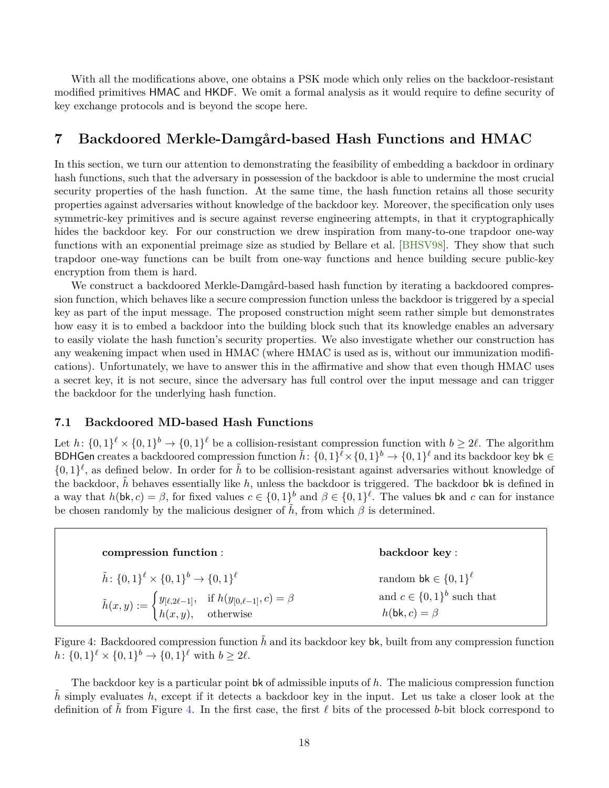<span id="page-17-3"></span>With all the modifications above, one obtains a PSK mode which only relies on the backdoor-resistant modified primitives HMAC and HKDF. We omit a formal analysis as it would require to define security of key exchange protocols and is beyond the scope here.

# <span id="page-17-0"></span>**7 Backdoored Merkle-Damgård-based Hash Functions and HMAC**

In this section, we turn our attention to demonstrating the feasibility of embedding a backdoor in ordinary hash functions, such that the adversary in possession of the backdoor is able to undermine the most crucial security properties of the hash function. At the same time, the hash function retains all those security properties against adversaries without knowledge of the backdoor key. Moreover, the specification only uses symmetric-key primitives and is secure against reverse engineering attempts, in that it cryptographically hides the backdoor key. For our construction we drew inspiration from many-to-one trapdoor one-way functions with an exponential preimage size as studied by Bellare et al. [\[BHSV98\]](#page-27-2). They show that such trapdoor one-way functions can be built from one-way functions and hence building secure public-key encryption from them is hard.

We construct a backdoored Merkle-Damgård-based hash function by iterating a backdoored compression function, which behaves like a secure compression function unless the backdoor is triggered by a special key as part of the input message. The proposed construction might seem rather simple but demonstrates how easy it is to embed a backdoor into the building block such that its knowledge enables an adversary to easily violate the hash function's security properties. We also investigate whether our construction has any weakening impact when used in HMAC (where HMAC is used as is, without our immunization modifications). Unfortunately, we have to answer this in the affirmative and show that even though HMAC uses a secret key, it is not secure, since the adversary has full control over the input message and can trigger the backdoor for the underlying hash function.

## <span id="page-17-2"></span>**7.1 Backdoored MD-based Hash Functions**

Let  $h: \{0,1\}^{\ell} \times \{0,1\}^b \to \{0,1\}^{\ell}$  be a collision-resistant compression function with  $b \geq 2\ell$ . The algorithm BDHGen creates a backdoored compression function  $\tilde{h}$ :  $\{0,1\}^{\tilde{\ell}} \times \{0,1\}^{\ell} \to \{0,1\}^{\ell}$  and its backdoor key bk  $\in$  $\{0,1\}^{\ell}$ , as defined below. In order for  $\tilde{h}$  to be collision-resistant against adversaries without knowledge of the backdoor,  $\tilde{h}$  behaves essentially like h, unless the backdoor is triggered. The backdoor bk is defined in a way that  $h(\mathsf{bk}, c) = \beta$ , for fixed values  $c \in \{0, 1\}^b$  and  $\beta \in \{0, 1\}^{\ell}$ . The values bk and *c* can for instance be chosen randomly by the malicious designer of  $\tilde{h}$ , from which  $\beta$  is determined.

<span id="page-17-1"></span>

| compression function:                                                                                                                    | backdoor key:                                                  |
|------------------------------------------------------------------------------------------------------------------------------------------|----------------------------------------------------------------|
| $\tilde{h}$ : $\{0,1\}^{\ell} \times \{0,1\}^b \rightarrow \{0,1\}^{\ell}$                                                               | random bk $\in \{0,1\}^{\ell}$                                 |
| $\tilde{h}(x,y) := \begin{cases} y_{[\ell,2\ell-1]}, & \text{if } h(y_{[0,\ell-1]},c) = \beta \\ h(x,y), & \text{otherwise} \end{cases}$ | and $c \in \{0,1\}^b$ such that<br>$h(\mathsf{bk}, c) = \beta$ |

Figure 4: Backdoored compression function  $\tilde{h}$  and its backdoor key bk, built from any compression function  $h: \{0,1\}^{\ell} \times \{0,1\}^{\ell} \to \{0,1\}^{\ell}$  with  $b \geq 2\ell$ .

The backdoor key is a particular point bk of admissible inputs of *h*. The malicious compression function  $\tilde{h}$  simply evaluates *h*, except if it detects a backdoor key in the input. Let us take a closer look at the definition of  $\tilde{h}$  from Figure [4.](#page-17-1) In the first case, the first  $\ell$  bits of the processed *b*-bit block correspond to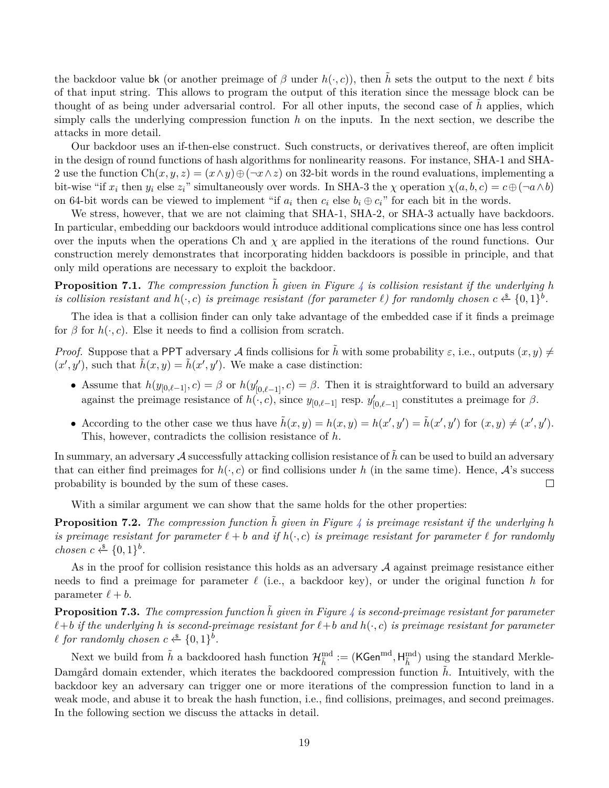the backdoor value bk (or another preimage of  $\beta$  under  $h(\cdot, c)$ ), then  $\tilde{h}$  sets the output to the next  $\ell$  bits of that input string. This allows to program the output of this iteration since the message block can be thought of as being under adversarial control. For all other inputs, the second case of  $\tilde{h}$  applies, which simply calls the underlying compression function *h* on the inputs. In the next section, we describe the attacks in more detail.

Our backdoor uses an if-then-else construct. Such constructs, or derivatives thereof, are often implicit in the design of round functions of hash algorithms for nonlinearity reasons. For instance, SHA-1 and SHA-2 use the function  $Ch(x, y, z) = (x \wedge y) \oplus (\neg x \wedge z)$  on 32-bit words in the round evaluations, implementing a bit-wise "if  $x_i$  then  $y_i$  else  $z_i$ " simultaneously over words. In SHA-3 the  $\chi$  operation  $\chi(a, b, c) = c \oplus (\neg a \land b)$ on 64-bit words can be viewed to implement "if  $a_i$  then  $c_i$  else  $b_i \oplus c_i$ " for each bit in the words.

We stress, however, that we are not claiming that SHA-1, SHA-2, or SHA-3 actually have backdoors. In particular, embedding our backdoors would introduce additional complications since one has less control over the inputs when the operations Ch and  $\chi$  are applied in the iterations of the round functions. Our construction merely demonstrates that incorporating hidden backdoors is possible in principle, and that only mild operations are necessary to exploit the backdoor.

**Proposition 7.1.** The compression function  $\tilde{h}$  given in Figure [4](#page-17-1) is collision resistant if the underlying h *is collision resistant and*  $h(\cdot, c)$  *is preimage resistant (for parameter*  $\ell$ *) for randomly chosen*  $c \stackrel{\$}{\leftarrow} \{0,1\}^b$ .

The idea is that a collision finder can only take advantage of the embedded case if it finds a preimage for  $\beta$  for  $h(\cdot, c)$ . Else it needs to find a collision from scratch.

*Proof.* Suppose that a PPT adversary A finds collisions for  $\tilde{h}$  with some probability  $\varepsilon$ , i.e., outputs  $(x, y) \neq$  $(x', y')$ , such that  $\tilde{h}(x, y) = \tilde{h}(x', y')$ . We make a case distinction:

- Assume that  $h(y_{[0,\ell-1]},c) = \beta$  or  $h(y'_{[0,\ell-1]},c) = \beta$ . Then it is straightforward to build an adversary against the preimage resistance of  $h(\cdot, c)$ , since  $y_{[0,\ell-1]}$  resp.  $y'_{[0,\ell-1]}$  constitutes a preimage for  $\beta$ .
- According to the other case we thus have  $\tilde{h}(x, y) = h(x, y) = h(x', y') = \tilde{h}(x', y')$  for  $(x, y) \neq (x', y')$ . This, however, contradicts the collision resistance of *h*.

In summary, an adversary A successfully attacking collision resistance of  $h$  can be used to build an adversary that can either find preimages for  $h(\cdot, c)$  or find collisions under h (in the same time). Hence,  $\mathcal{A}$ 's success probability is bounded by the sum of these cases.  $\Box$ 

With a similar argument we can show that the same holds for the other properties:

**Proposition 7.2.** The compression function  $\tilde{h}$  given in Figure [4](#page-17-1) is preimage resistant if the underlying h *is preimage resistant for parameter*  $\ell + b$  *and if*  $h(\cdot, c)$  *is preimage resistant for parameter*  $\ell$  *for randomly chosen*  $c \xleftarrow{\$} \{0,1\}^b$ .

As in the proof for collision resistance this holds as an adversary A against preimage resistance either needs to find a preimage for parameter  $\ell$  (i.e., a backdoor key), or under the original function  $h$  for parameter  $\ell + b$ .

**Proposition 7.3.** The compression function  $\tilde{h}$  given in Figure [4](#page-17-1) is second-preimage resistant for parameter  $\ell + b$  *if the underlying h is second-preimage resistant for*  $\ell + b$  *and*  $h(\cdot, c)$  *is preimage resistant for parameter*  $\ell$  for randomly chosen  $c \stackrel{\$}{\leftarrow} \{0,1\}^b$ .

Next we build from  $\tilde{h}$  a backdoored hash function  $\mathcal{H}^{\text{md}}_{\tilde{h}} := (\mathsf{KGen}^{\text{md}}, \mathsf{H}^{\text{md}}_{\tilde{h}})$  using the standard Merkle-Damgård domain extender, which iterates the backdoored compression function  $\tilde{h}$ . Intuitively, with the backdoor key an adversary can trigger one or more iterations of the compression function to land in a weak mode, and abuse it to break the hash function, i.e., find collisions, preimages, and second preimages. In the following section we discuss the attacks in detail.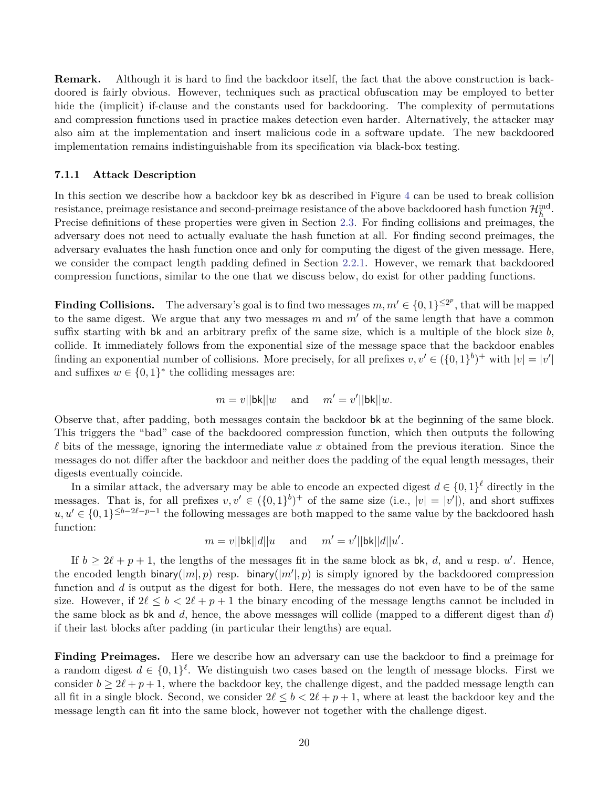**Remark.** Although it is hard to find the backdoor itself, the fact that the above construction is backdoored is fairly obvious. However, techniques such as practical obfuscation may be employed to better hide the (implicit) if-clause and the constants used for backdooring. The complexity of permutations and compression functions used in practice makes detection even harder. Alternatively, the attacker may also aim at the implementation and insert malicious code in a software update. The new backdoored implementation remains indistinguishable from its specification via black-box testing.

#### <span id="page-19-0"></span>**7.1.1 Attack Description**

In this section we describe how a backdoor key bk as described in Figure [4](#page-17-1) can be used to break collision resistance, preimage resistance and second-preimage resistance of the above backdoored hash function  $\mathcal{H}_{\tilde{h}}^{\text{md}}$ . Precise definitions of these properties were given in Section [2.3.](#page-6-0) For finding collisions and preimages, the adversary does not need to actually evaluate the hash function at all. For finding second preimages, the adversary evaluates the hash function once and only for computing the digest of the given message. Here, we consider the compact length padding defined in Section [2.2.1.](#page-4-0) However, we remark that backdoored compression functions, similar to the one that we discuss below, do exist for other padding functions.

**Finding Collisions.** The adversary's goal is to find two messages  $m, m' \in \{0, 1\}^{\leq 2^p}$ , that will be mapped to the same digest. We argue that any two messages  $m$  and  $m'$  of the same length that have a common suffix starting with bk and an arbitrary prefix of the same size, which is a multiple of the block size *b*, collide. It immediately follows from the exponential size of the message space that the backdoor enables finding an exponential number of collisions. More precisely, for all prefixes  $v, v' \in (\{0, 1\}^b)^+$  with  $|v| = |v'|$ and suffixes  $w \in \{0,1\}^*$  the colliding messages are:

$$
m = v||\n{\bf b}\n{\bf k}||w
$$
 and  $m' = v'||\n{\bf b}\n{\bf k}||w$ .

Observe that, after padding, both messages contain the backdoor bk at the beginning of the same block. This triggers the "bad" case of the backdoored compression function, which then outputs the following  $\ell$  bits of the message, ignoring the intermediate value *x* obtained from the previous iteration. Since the messages do not differ after the backdoor and neither does the padding of the equal length messages, their digests eventually coincide.

In a similar attack, the adversary may be able to encode an expected digest  $d \in \{0,1\}^{\ell}$  directly in the messages. That is, for all prefixes  $v, v' \in (\{0, 1\}^b)^+$  of the same size (i.e.,  $|v| = |v'|$ ), and short suffixes  $u, u' \in \{0, 1\}^{\leq b-2\ell-p-1}$  the following messages are both mapped to the same value by the backdoored hash function:

$$
m = v||\nabla k||d||u
$$
 and  $m' = v'||\nabla k||d||u'.$ 

If  $b \ge 2\ell + p + 1$ , the lengths of the messages fit in the same block as bk, *d*, and *u* resp. *u'*. Hence, the encoded length binary( $|m|, p$ ) resp. binary( $|m'|, p$ ) is simply ignored by the backdoored compression function and *d* is output as the digest for both. Here, the messages do not even have to be of the same size. However, if  $2\ell \leq b \leq 2\ell + p + 1$  the binary encoding of the message lengths cannot be included in the same block as bk and *d*, hence, the above messages will collide (mapped to a different digest than *d*) if their last blocks after padding (in particular their lengths) are equal.

**Finding Preimages.** Here we describe how an adversary can use the backdoor to find a preimage for a random digest  $d \in \{0,1\}^{\ell}$ . We distinguish two cases based on the length of message blocks. First we consider  $b \ge 2\ell + p + 1$ , where the backdoor key, the challenge digest, and the padded message length can all fit in a single block. Second, we consider  $2\ell \leq b < 2\ell + p + 1$ , where at least the backdoor key and the message length can fit into the same block, however not together with the challenge digest.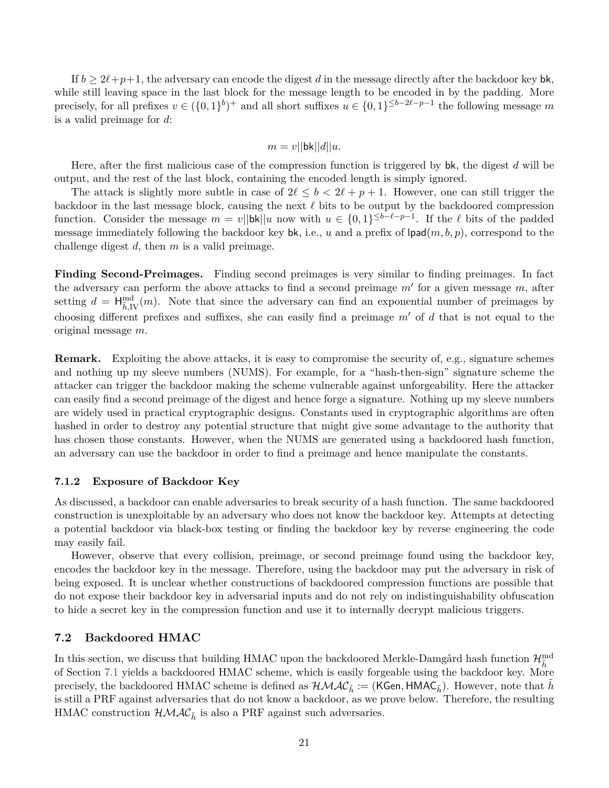If  $b \geq 2\ell+p+1$ , the adversary can encode the digest *d* in the message directly after the backdoor key bk, while still leaving space in the last block for the message length to be encoded in by the padding. More precisely, for all prefixes  $v \in (\{0,1\}^b)^+$  and all short suffixes  $u \in \{0,1\}^{\leq b-2\ell-p-1}$  the following message m is a valid preimage for *d*:

$$
m = v||\mathsf{bk}||d||u.
$$

Here, after the first malicious case of the compression function is triggered by bk, the digest *d* will be output, and the rest of the last block, containing the encoded length is simply ignored.

The attack is slightly more subtle in case of  $2\ell \leq b < 2\ell + p + 1$ . However, one can still trigger the backdoor in the last message block, causing the next  $\ell$  bits to be output by the backdoored compression function. Consider the message  $m = v \|\mathbf{bk}\|u\|$  now with  $u \in \{0,1\}^{\leq b-\ell-p-1}$ . If the  $\ell$  bits of the padded message immediately following the backdoor key bk, i.e., *u* and a prefix of lpad(*m, b, p*), correspond to the challenge digest *d*, then *m* is a valid preimage.

**Finding Second-Preimages.** Finding second preimages is very similar to finding preimages. In fact the adversary can perform the above attacks to find a second preimage  $m'$  for a given message  $m$ , after setting  $d = \mathsf{H}^{\text{md}}_{\tilde{h}, \text{IV}}(m)$ . Note that since the adversary can find an exponential number of preimages by choosing different prefixes and suffixes, she can easily find a preimage  $m'$  of  $d$  that is not equal to the original message *m*.

**Remark.** Exploiting the above attacks, it is easy to compromise the security of, e.g., signature schemes and nothing up my sleeve numbers (NUMS). For example, for a "hash-then-sign" signature scheme the attacker can trigger the backdoor making the scheme vulnerable against unforgeability. Here the attacker can easily find a second preimage of the digest and hence forge a signature. Nothing up my sleeve numbers are widely used in practical cryptographic designs. Constants used in cryptographic algorithms are often hashed in order to destroy any potential structure that might give some advantage to the authority that has chosen those constants. However, when the NUMS are generated using a backdoored hash function, an adversary can use the backdoor in order to find a preimage and hence manipulate the constants.

## **7.1.2 Exposure of Backdoor Key**

As discussed, a backdoor can enable adversaries to break security of a hash function. The same backdoored construction is unexploitable by an adversary who does not know the backdoor key. Attempts at detecting a potential backdoor via black-box testing or finding the backdoor key by reverse engineering the code may easily fail.

However, observe that every collision, preimage, or second preimage found using the backdoor key, encodes the backdoor key in the message. Therefore, using the backdoor may put the adversary in risk of being exposed. It is unclear whether constructions of backdoored compression functions are possible that do not expose their backdoor key in adversarial inputs and do not rely on indistinguishability obfuscation to hide a secret key in the compression function and use it to internally decrypt malicious triggers.

## <span id="page-20-0"></span>**7.2 Backdoored HMAC**

In this section, we discuss that building HMAC upon the backdoored Merkle-Damgård hash function  $\mathcal{H}^{\text{md}}_{\tilde{h}}$ of Section [7.1](#page-17-2) yields a backdoored HMAC scheme, which is easily forgeable using the backdoor key. More precisely, the backdoored HMAC scheme is defined as  $\mathcal{HMAC}_{\tilde{h}} := (KGen, HMAC_{\tilde{h}})$ . However, note that *h* is still a PRF against adversaries that do not know a backdoor, as we prove below. Therefore, the resulting HMAC construction  $\mathcal{HMAC}_{\tilde{h}}$  is also a PRF against such adversaries.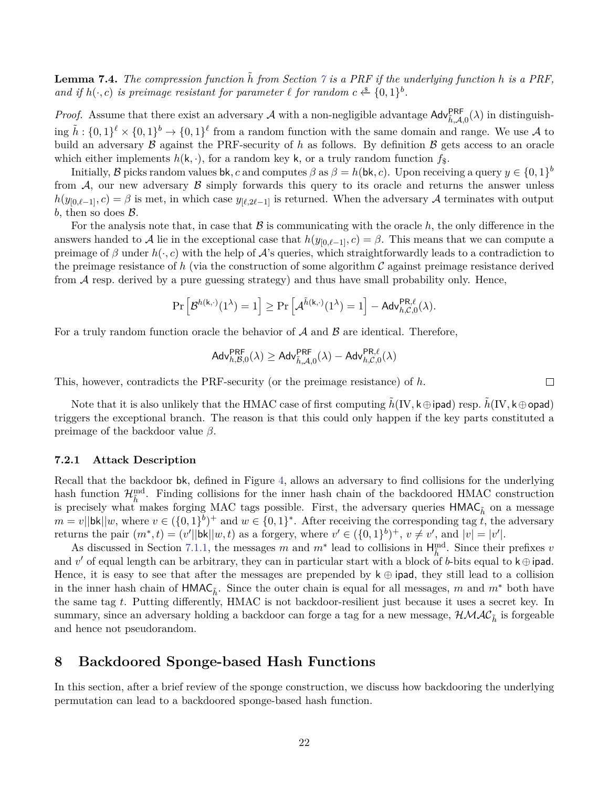**Lemma [7](#page-17-0).4.** The compression function  $\tilde{h}$  from Section  $\gamma$  is a PRF if the underlying function  $h$  is a PRF, *and if*  $h(\cdot, c)$  *is preimage resistant for parameter*  $\ell$  *for random*  $c \stackrel{\$}{\leftarrow} \{0,1\}^b$ .

*Proof.* Assume that there exist an adversary A with a non-negligible advantage  $\text{Adv}_{\tilde{h},\mathcal{A},0}^{\text{PRF}}(\lambda)$  in distinguishing  $\tilde{h}: \{0,1\}^{\ell} \times \{0,1\}^{\ell} \to \{0,1\}^{\ell}$  from a random function with the same domain and range. We use A to build an adversary  $\beta$  against the PRF-security of h as follows. By definition  $\beta$  gets access to an oracle which either implements  $h(\mathsf{k},\cdot)$ , for a random key **k**, or a truly random function  $f_{\$}$ .

Initially,  $\mathcal{B}$  picks random values bk, c and computes  $\beta$  as  $\beta = h(\mathsf{bk}, c)$ . Upon receiving a query  $y \in \{0, 1\}^b$ from  $A$ , our new adversary  $B$  simply forwards this query to its oracle and returns the answer unless  $h(y_{0,\ell-1},c) = \beta$  is met, in which case  $y_{\ell,2\ell-1}$  is returned. When the adversary A terminates with output b, then so does  $\beta$ .

For the analysis note that, in case that  $\beta$  is communicating with the oracle  $h$ , the only difference in the answers handed to A lie in the exceptional case that  $h(y_{0,\ell-1}, c) = \beta$ . This means that we can compute a preimage of  $\beta$  under  $h(\cdot, c)$  with the help of  $\mathcal A$ 's queries, which straightforwardly leads to a contradiction to the preimage resistance of *h* (via the construction of some algorithm C against preimage resistance derived from A resp. derived by a pure guessing strategy) and thus have small probability only. Hence,

$$
\Pr\left[\mathcal{B}^{h(k,\cdot)}(1^\lambda)=1\right]\geq \Pr\left[\mathcal{A}^{\tilde{h}(k,\cdot)}(1^\lambda)=1\right]-\mathsf{Adv}_{h,\mathcal{C},0}^{\mathsf{PR},\ell}(\lambda).
$$

For a truly random function oracle the behavior of  $A$  and  $B$  are identical. Therefore,

$$
\mathsf{Adv}_{h,\mathcal{B},0}^{\mathsf{PRF}}(\lambda) \geq \mathsf{Adv}_{\tilde{h},\mathcal{A},0}^{\mathsf{PRF}}(\lambda) - \mathsf{Adv}_{h,\mathcal{C},0}^{\mathsf{PR},\ell}(\lambda)
$$

This, however, contradicts the PRF-security (or the preimage resistance) of *h*.

Note that it is also unlikely that the HMAC case of first computing  $\tilde{h}(IV, k \oplus$  ipad) resp.  $\tilde{h}(IV, k \oplus$  opad) triggers the exceptional branch. The reason is that this could only happen if the key parts constituted a preimage of the backdoor value *β*.

## **7.2.1 Attack Description**

Recall that the backdoor bk, defined in Figure [4,](#page-17-1) allows an adversary to find collisions for the underlying hash function  $\mathcal{H}_{\tilde{h}}^{\text{md}}$ . Finding collisions for the inner hash chain of the backdoored HMAC construction is precisely what makes forging MAC tags possible. First, the adversary queries  $HMAC_{\tilde{h}}$  on a message  $m = v \leq ||\mathbf{bk}||w$ , where  $v \in (\{0,1\}^b)^+$  and  $w \in \{0,1\}^*$ . After receiving the corresponding tag *t*, the adversary returns the pair  $(m^*, t) = (v'||bk||w, t)$  as a forgery, where  $v' \in (\{0, 1\}^b)^+$ ,  $v \neq v'$ , and  $|v| = |v'|$ .

As discussed in Section [7.1.1,](#page-19-0) the messages *m* and  $m^*$  lead to collisions in  $H_{\tilde{h}}^{md}$ . Since their prefixes *v* and  $v'$  of equal length can be arbitrary, they can in particular start with a block of *b*-bits equal to  $k \oplus$  ipad. Hence, it is easy to see that after the messages are prepended by  $k \oplus \text{ipad}$ , they still lead to a collision in the inner hash chain of  $HMAC_{\tilde{h}}$ . Since the outer chain is equal for all messages, *m* and  $m^*$  both have the same tag *t*. Putting differently, HMAC is not backdoor-resilient just because it uses a secret key. In summary, since an adversary holding a backdoor can forge a tag for a new message,  $HMAC_{\tilde{h}}$  is forgeable and hence not pseudorandom.

# <span id="page-21-0"></span>**8 Backdoored Sponge-based Hash Functions**

In this section, after a brief review of the sponge construction, we discuss how backdooring the underlying permutation can lead to a backdoored sponge-based hash function.

 $\Box$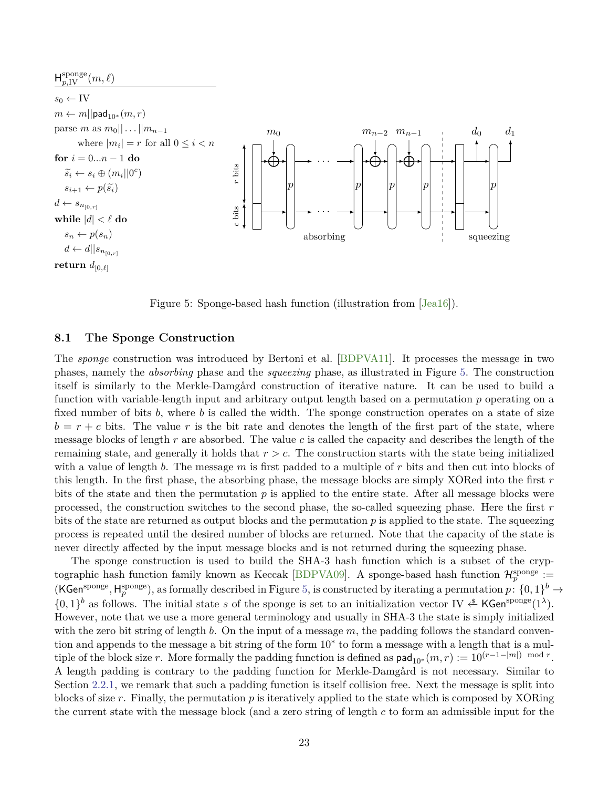<span id="page-22-1"></span><span id="page-22-0"></span>

Figure 5: Sponge-based hash function (illustration from [\[Jea16\]](#page-28-11)).

## **8.1 The Sponge Construction**

The *sponge* construction was introduced by Bertoni et al. [\[BDPVA11\]](#page-26-9). It processes the message in two phases, namely the *absorbing* phase and the *squeezing* phase, as illustrated in Figure [5.](#page-22-0) The construction itself is similarly to the Merkle-Damgård construction of iterative nature. It can be used to build a function with variable-length input and arbitrary output length based on a permutation *p* operating on a fixed number of bits *b*, where *b* is called the width. The sponge construction operates on a state of size  $b = r + c$  bits. The value r is the bit rate and denotes the length of the first part of the state, where message blocks of length *r* are absorbed. The value *c* is called the capacity and describes the length of the remaining state, and generally it holds that *r > c*. The construction starts with the state being initialized with a value of length *b*. The message *m* is first padded to a multiple of *r* bits and then cut into blocks of this length. In the first phase, the absorbing phase, the message blocks are simply XORed into the first *r* bits of the state and then the permutation  $p$  is applied to the entire state. After all message blocks were processed, the construction switches to the second phase, the so-called squeezing phase. Here the first *r* bits of the state are returned as output blocks and the permutation p is applied to the state. The squeezing process is repeated until the desired number of blocks are returned. Note that the capacity of the state is never directly affected by the input message blocks and is not returned during the squeezing phase.

The sponge construction is used to build the SHA-3 hash function which is a subset of the cryp-tographic hash function family known as Keccak [\[BDPVA09\]](#page-26-10). A sponge-based hash function  $\mathcal{H}_p^{\text{sponge}}$  :=  $(KGen^{sponge}, H^{sponge}_p)$ , as formally described in Figure [5,](#page-22-0) is constructed by iterating a permutation  $p: \{0,1\}^b \to$  $\{0,1\}^b$  as follows. The initial state *s* of the sponge is set to an initialization vector IV  $\overset{\$}{\leftarrow}$  KGen<sup>sponge</sup>(1<sup> $\lambda$ </sup>). However, note that we use a more general terminology and usually in SHA-3 the state is simply initialized with the zero bit string of length *b*. On the input of a message *m*, the padding follows the standard convention and appends to the message a bit string of the form 10<sup>∗</sup> to form a message with a length that is a multiple of the block size *r*. More formally the padding function is defined as  $\text{pad}_{10^*}(m, r) := 10^{(r-1-|m|)} \mod r$ . A length padding is contrary to the padding function for Merkle-Damgård is not necessary. Similar to Section [2.2.1,](#page-4-0) we remark that such a padding function is itself collision free. Next the message is split into blocks of size *r*. Finally, the permutation *p* is iteratively applied to the state which is composed by XORing the current state with the message block (and a zero string of length *c* to form an admissible input for the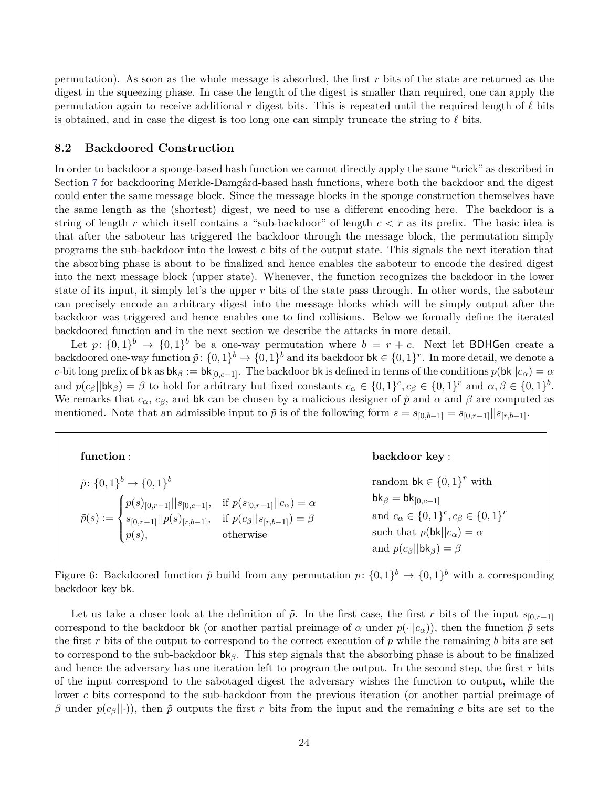permutation). As soon as the whole message is absorbed, the first *r* bits of the state are returned as the digest in the squeezing phase. In case the length of the digest is smaller than required, one can apply the permutation again to receive additional  $r$  digest bits. This is repeated until the required length of  $\ell$  bits is obtained, and in case the digest is too long one can simply truncate the string to  $\ell$  bits.

## **8.2 Backdoored Construction**

In order to backdoor a sponge-based hash function we cannot directly apply the same "trick" as described in Section [7](#page-17-0) for backdooring Merkle-Damgård-based hash functions, where both the backdoor and the digest could enter the same message block. Since the message blocks in the sponge construction themselves have the same length as the (shortest) digest, we need to use a different encoding here. The backdoor is a string of length *r* which itself contains a "sub-backdoor" of length *c < r* as its prefix. The basic idea is that after the saboteur has triggered the backdoor through the message block, the permutation simply programs the sub-backdoor into the lowest *c* bits of the output state. This signals the next iteration that the absorbing phase is about to be finalized and hence enables the saboteur to encode the desired digest into the next message block (upper state). Whenever, the function recognizes the backdoor in the lower state of its input, it simply let's the upper *r* bits of the state pass through. In other words, the saboteur can precisely encode an arbitrary digest into the message blocks which will be simply output after the backdoor was triggered and hence enables one to find collisions. Below we formally define the iterated backdoored function and in the next section we describe the attacks in more detail.

Let  $p: \{0,1\}^b \rightarrow \{0,1\}^b$  be a one-way permutation where  $b = r + c$ . Next let BDHGen create a backdoored one-way function  $\tilde{p}: \{0,1\}^b \to \{0,1\}^b$  and its backdoor  $\mathsf{bk} \in \{0,1\}^r$ . In more detail, we denote a *c*-bit long prefix of bk as  $bk_\beta := bk_{[0,c-1]}$ . The backdoor bk is defined in terms of the conditions  $p(bk||c_\alpha) = \alpha$ and  $p(c_{\beta}||\mathbf{bk}_{\beta}) = \beta$  to hold for arbitrary but fixed constants  $c_{\alpha} \in \{0,1\}^c$ ,  $c_{\beta} \in \{0,1\}^r$  and  $\alpha, \beta \in \{0,1\}^b$ . We remarks that  $c_{\alpha}$ ,  $c_{\beta}$ , and bk can be chosen by a malicious designer of  $\tilde{p}$  and  $\alpha$  and  $\beta$  are computed as mentioned. Note that an admissible input to  $\tilde{p}$  is of the following form  $s = s_{[0,b-1]} = s_{[0,r-1]}||s_{[r,b-1]}$ .

| function :                                                                                                                                                                                                                                                                                      | backdoor key:                                                                                                                                                                                                                              |
|-------------------------------------------------------------------------------------------------------------------------------------------------------------------------------------------------------------------------------------------------------------------------------------------------|--------------------------------------------------------------------------------------------------------------------------------------------------------------------------------------------------------------------------------------------|
| $\tilde{p}$ : $\{0,1\}^b \rightarrow \{0,1\}^b$<br>$\tilde{p}(s) := \begin{cases} p(s)_{[0,r-1]}    s_{[0,c-1]}, & \text{if } p(s_{[0,r-1]}    c_{\alpha}) = \alpha \\ s_{[0,r-1]}    p(s)_{[r,b-1]}, & \text{if } p(c_{\beta}    s_{[r,b-1]}) = \beta \\ p(s), & \text{otherwise} \end{cases}$ | random $\mathsf{bk} \in \{0,1\}^r$ with<br>$bk_{\beta} = bk_{[0,c-1]}$<br>and $c_{\alpha} \in \{0,1\}^c$ , $c_{\beta} \in \{0,1\}^r$<br>such that $p(\mathsf{bk}  c_{\alpha}) = \alpha$<br>and $p(c_{\beta}  \mathbf{bk}_{\beta}) = \beta$ |

Figure 6: Backdoored function  $\tilde{p}$  build from any permutation  $p: \{0,1\}^b \to \{0,1\}^b$  with a corresponding backdoor key bk.

Let us take a closer look at the definition of  $\tilde{p}$ . In the first case, the first *r* bits of the input  $s_{[0,r-1]}$ correspond to the backdoor bk (or another partial preimage of  $\alpha$  under  $p(\cdot||c_{\alpha})$ ), then the function  $\tilde{p}$  sets the first *r* bits of the output to correspond to the correct execution of *p* while the remaining *b* bits are set to correspond to the sub-backdoor bk*β*. This step signals that the absorbing phase is about to be finalized and hence the adversary has one iteration left to program the output. In the second step, the first *r* bits of the input correspond to the sabotaged digest the adversary wishes the function to output, while the lower *c* bits correspond to the sub-backdoor from the previous iteration (or another partial preimage of *β* under  $p(c_{\beta}||\cdot)$ , then  $\tilde{p}$  outputs the first *r* bits from the input and the remaining *c* bits are set to the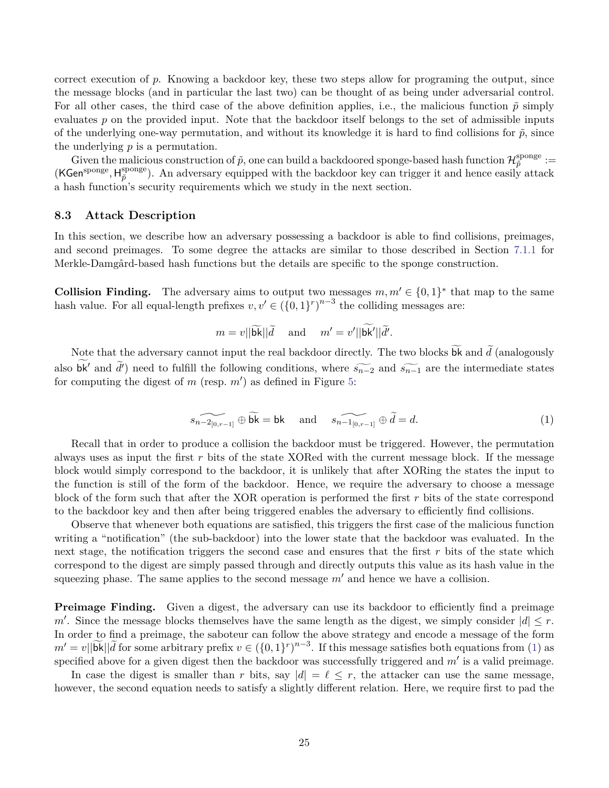correct execution of *p*. Knowing a backdoor key, these two steps allow for programing the output, since the message blocks (and in particular the last two) can be thought of as being under adversarial control. For all other cases, the third case of the above definition applies, i.e., the malicious function  $\tilde{p}$  simply evaluates *p* on the provided input. Note that the backdoor itself belongs to the set of admissible inputs of the underlying one-way permutation, and without its knowledge it is hard to find collisions for  $\tilde{p}$ , since the underlying *p* is a permutation.

Given the malicious construction of  $\tilde{p}$ , one can build a backdoored sponge-based hash function  $\mathcal{H}^{\text{sponge}}_{\tilde{p}}$  $_{\tilde{p}}^{\mathrm{ponge}}:=$ (KGensponge *,* H sponge <sup>sponge</sup>). An adversary equipped with the backdoor key can trigger it and hence easily attack a hash function's security requirements which we study in the next section.

## **8.3 Attack Description**

In this section, we describe how an adversary possessing a backdoor is able to find collisions, preimages, and second preimages. To some degree the attacks are similar to those described in Section [7.1.1](#page-19-0) for Merkle-Damgård-based hash functions but the details are specific to the sponge construction.

**Collision Finding.** The adversary aims to output two messages  $m, m' \in \{0, 1\}^*$  that map to the same hash value. For all equal-length prefixes  $v, v' \in (\{0,1\}^r)^{n-3}$  the colliding messages are:

<span id="page-24-0"></span>
$$
m = v \vert \vert \widetilde{\mathsf{bk}} \vert \vert \widetilde{d} \quad \text{ and } \quad m' = v' \vert \vert \mathsf{bk}' \vert \vert \widetilde{d}'.
$$

Note that the adversary cannot input the real backdoor directly. The two blocks **bk** and  $d$  (analogously also bk<sup> $\ell$ </sup> and  $\tilde{d}$ ) need to fulfill the following conditions, where  $\widetilde{s_{n-2}}$  and  $\widetilde{s_{n-1}}$  are the intermediate states for computing the digest of  $m$  (resp.  $m'$ ) as defined in Figure [5:](#page-22-0)

$$
\widetilde{s_{n-2_{[0,r-1]}} \oplus b\kappa} = \mathsf{bk} \quad \text{and} \quad \widetilde{s_{n-1_{[0,r-1]}}} \oplus \widetilde{d} = d. \tag{1}
$$

Recall that in order to produce a collision the backdoor must be triggered. However, the permutation always uses as input the first *r* bits of the state XORed with the current message block. If the message block would simply correspond to the backdoor, it is unlikely that after XORing the states the input to the function is still of the form of the backdoor. Hence, we require the adversary to choose a message block of the form such that after the XOR operation is performed the first *r* bits of the state correspond to the backdoor key and then after being triggered enables the adversary to efficiently find collisions.

Observe that whenever both equations are satisfied, this triggers the first case of the malicious function writing a "notification" (the sub-backdoor) into the lower state that the backdoor was evaluated. In the next stage, the notification triggers the second case and ensures that the first *r* bits of the state which correspond to the digest are simply passed through and directly outputs this value as its hash value in the squeezing phase. The same applies to the second message  $m'$  and hence we have a collision.

**Preimage Finding.** Given a digest, the adversary can use its backdoor to efficiently find a preimage *m*<sup> $\prime$ </sup>. Since the message blocks themselves have the same length as the digest, we simply consider  $|d| \leq r$ . In order to find a preimage, the saboteur can follow the above strategy and encode a message of the form  $m' = v \|\widetilde{\mathbf{bk}}\| \widetilde{d}$  for some arbitrary prefix  $v \in (\{0,1\}^r)^{n-3}$ . If this message satisfies both equations from [\(1\)](#page-24-0) as specified above for a given digest then the backdoor was successfully triggered and  $m'$  is a valid preimage.

In case the digest is smaller than *r* bits, say  $|d| = \ell \leq r$ , the attacker can use the same message, however, the second equation needs to satisfy a slightly different relation. Here, we require first to pad the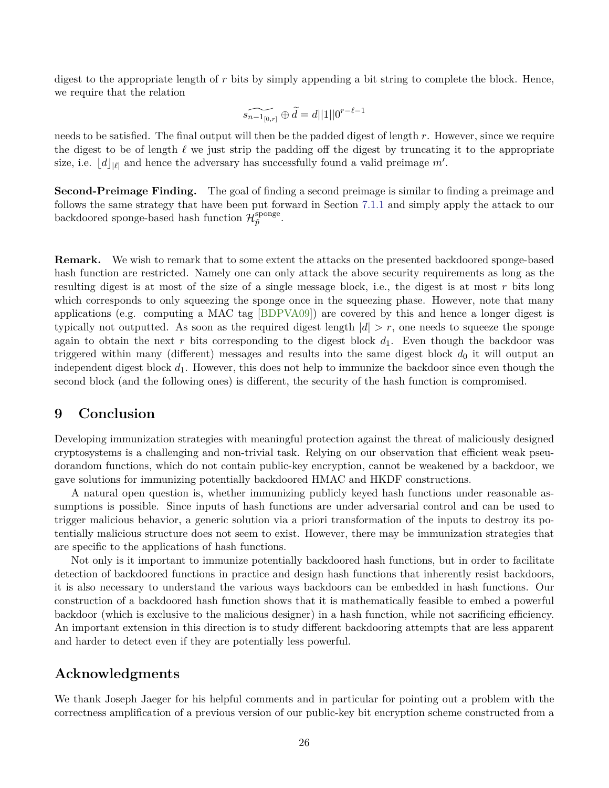<span id="page-25-1"></span>digest to the appropriate length of *r* bits by simply appending a bit string to complete the block. Hence, we require that the relation

$$
\widetilde{s_{n-1_{[0,r]}}}\oplus\widetilde{d}=d||1||0^{r-\ell-1}
$$

needs to be satisfied. The final output will then be the padded digest of length *r*. However, since we require the digest to be of length  $\ell$  we just strip the padding off the digest by truncating it to the appropriate size, i.e.  $\lfloor d \rfloor_{|\ell|}$  and hence the adversary has successfully found a valid preimage  $m'$ .

**Second-Preimage Finding.** The goal of finding a second preimage is similar to finding a preimage and follows the same strategy that have been put forward in Section [7.1.1](#page-19-0) and simply apply the attack to our backdoored sponge-based hash function  $\mathcal{H}_{\tilde{p}}^{\text{sponge}}$  $_{\tilde{p}}^{\mathrm{ponge}}\cdot$ 

**Remark.** We wish to remark that to some extent the attacks on the presented backdoored sponge-based hash function are restricted. Namely one can only attack the above security requirements as long as the resulting digest is at most of the size of a single message block, i.e., the digest is at most *r* bits long which corresponds to only squeezing the sponge once in the squeezing phase. However, note that many applications (e.g. computing a MAC tag [\[BDPVA09\]](#page-26-10)) are covered by this and hence a longer digest is typically not outputted. As soon as the required digest length  $|d| > r$ , one needs to squeeze the sponge again to obtain the next r bits corresponding to the digest block  $d_1$ . Even though the backdoor was triggered within many (different) messages and results into the same digest block  $d_0$  it will output an independent digest block  $d_1$ . However, this does not help to immunize the backdoor since even though the second block (and the following ones) is different, the security of the hash function is compromised.

# <span id="page-25-0"></span>**9 Conclusion**

Developing immunization strategies with meaningful protection against the threat of maliciously designed cryptosystems is a challenging and non-trivial task. Relying on our observation that efficient weak pseudorandom functions, which do not contain public-key encryption, cannot be weakened by a backdoor, we gave solutions for immunizing potentially backdoored HMAC and HKDF constructions.

A natural open question is, whether immunizing publicly keyed hash functions under reasonable assumptions is possible. Since inputs of hash functions are under adversarial control and can be used to trigger malicious behavior, a generic solution via a priori transformation of the inputs to destroy its potentially malicious structure does not seem to exist. However, there may be immunization strategies that are specific to the applications of hash functions.

Not only is it important to immunize potentially backdoored hash functions, but in order to facilitate detection of backdoored functions in practice and design hash functions that inherently resist backdoors, it is also necessary to understand the various ways backdoors can be embedded in hash functions. Our construction of a backdoored hash function shows that it is mathematically feasible to embed a powerful backdoor (which is exclusive to the malicious designer) in a hash function, while not sacrificing efficiency. An important extension in this direction is to study different backdooring attempts that are less apparent and harder to detect even if they are potentially less powerful.

# **Acknowledgments**

We thank Joseph Jaeger for his helpful comments and in particular for pointing out a problem with the correctness amplification of a previous version of our public-key bit encryption scheme constructed from a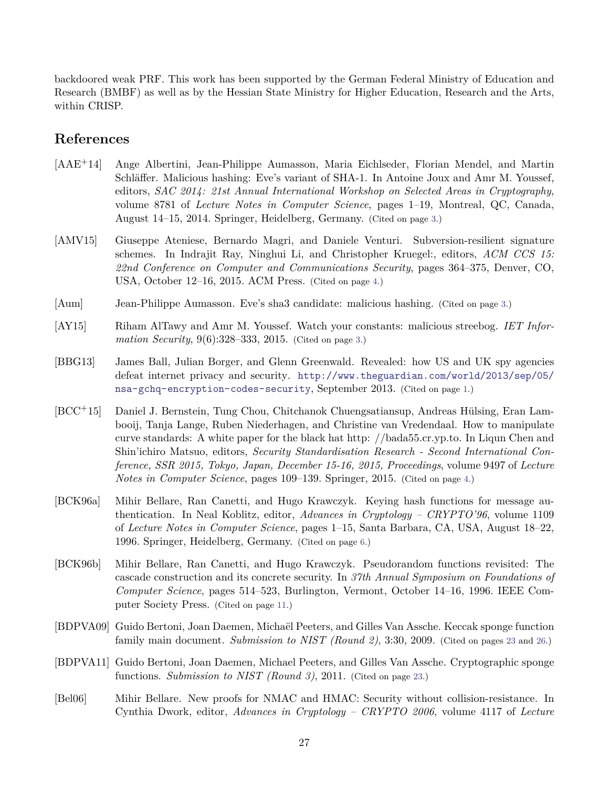backdoored weak PRF. This work has been supported by the German Federal Ministry of Education and Research (BMBF) as well as by the Hessian State Ministry for Higher Education, Research and the Arts, within CRISP.

# **References**

- <span id="page-26-1"></span>[AAE+14] Ange Albertini, Jean-Philippe Aumasson, Maria Eichlseder, Florian Mendel, and Martin Schläffer. Malicious hashing: Eve's variant of SHA-1. In Antoine Joux and Amr M. Youssef, editors, *SAC 2014: 21st Annual International Workshop on Selected Areas in Cryptography*, volume 8781 of *Lecture Notes in Computer Science*, pages 1–19, Montreal, QC, Canada, August 14–15, 2014. Springer, Heidelberg, Germany. (Cited on page [3.](#page-2-1))
- <span id="page-26-5"></span>[AMV15] Giuseppe Ateniese, Bernardo Magri, and Daniele Venturi. Subversion-resilient signature schemes. In Indrajit Ray, Ninghui Li, and Christopher Kruegel:, editors, *ACM CCS 15: 22nd Conference on Computer and Communications Security*, pages 364–375, Denver, CO, USA, October 12–16, 2015. ACM Press. (Cited on page [4.](#page-3-1))
- <span id="page-26-2"></span>[Aum] Jean-Philippe Aumasson. Eve's sha3 candidate: malicious hashing. (Cited on page [3.](#page-2-1))
- <span id="page-26-3"></span>[AY15] Riham AlTawy and Amr M. Youssef. Watch your constants: malicious streebog. *IET Information Security*, 9(6):328–333, 2015. (Cited on page [3.](#page-2-1))
- <span id="page-26-0"></span>[BBG13] James Ball, Julian Borger, and Glenn Greenwald. Revealed: how US and UK spy agencies defeat internet privacy and security. [http://www.theguardian.com/world/2013/sep/05/](http://www.theguardian.com/world/2013/sep/05/nsa-gchq-encryption-codes-security) [nsa-gchq-encryption-codes-security](http://www.theguardian.com/world/2013/sep/05/nsa-gchq-encryption-codes-security), September 2013. (Cited on page [1.](#page-0-0))
- <span id="page-26-4"></span>[BCC+15] Daniel J. Bernstein, Tung Chou, Chitchanok Chuengsatiansup, Andreas Hülsing, Eran Lambooij, Tanja Lange, Ruben Niederhagen, and Christine van Vredendaal. How to manipulate curve standards: A white paper for the black hat http: //bada55.cr.yp.to. In Liqun Chen and Shin'ichiro Matsuo, editors, *Security Standardisation Research - Second International Conference, SSR 2015, Tokyo, Japan, December 15-16, 2015, Proceedings*, volume 9497 of *Lecture Notes in Computer Science*, pages 109–139. Springer, 2015. (Cited on page [4.](#page-3-1))
- <span id="page-26-6"></span>[BCK96a] Mihir Bellare, Ran Canetti, and Hugo Krawczyk. Keying hash functions for message authentication. In Neal Koblitz, editor, *Advances in Cryptology – CRYPTO'96*, volume 1109 of *Lecture Notes in Computer Science*, pages 1–15, Santa Barbara, CA, USA, August 18–22, 1996. Springer, Heidelberg, Germany. (Cited on page [6.](#page-5-1))
- <span id="page-26-7"></span>[BCK96b] Mihir Bellare, Ran Canetti, and Hugo Krawczyk. Pseudorandom functions revisited: The cascade construction and its concrete security. In *37th Annual Symposium on Foundations of Computer Science*, pages 514–523, Burlington, Vermont, October 14–16, 1996. IEEE Computer Society Press. (Cited on page [11.](#page-10-2))
- <span id="page-26-10"></span>[BDPVA09] Guido Bertoni, Joan Daemen, Michaël Peeters, and Gilles Van Assche. Keccak sponge function family main document. *Submission to NIST (Round 2)*, 3:30, 2009. (Cited on pages [23](#page-22-1) and [26.](#page-25-1))
- <span id="page-26-9"></span>[BDPVA11] Guido Bertoni, Joan Daemen, Michael Peeters, and Gilles Van Assche. Cryptographic sponge functions. *Submission to NIST (Round 3)*, 2011. (Cited on page [23.](#page-22-1))
- <span id="page-26-8"></span>[Bel06] Mihir Bellare. New proofs for NMAC and HMAC: Security without collision-resistance. In Cynthia Dwork, editor, *Advances in Cryptology – CRYPTO 2006*, volume 4117 of *Lecture*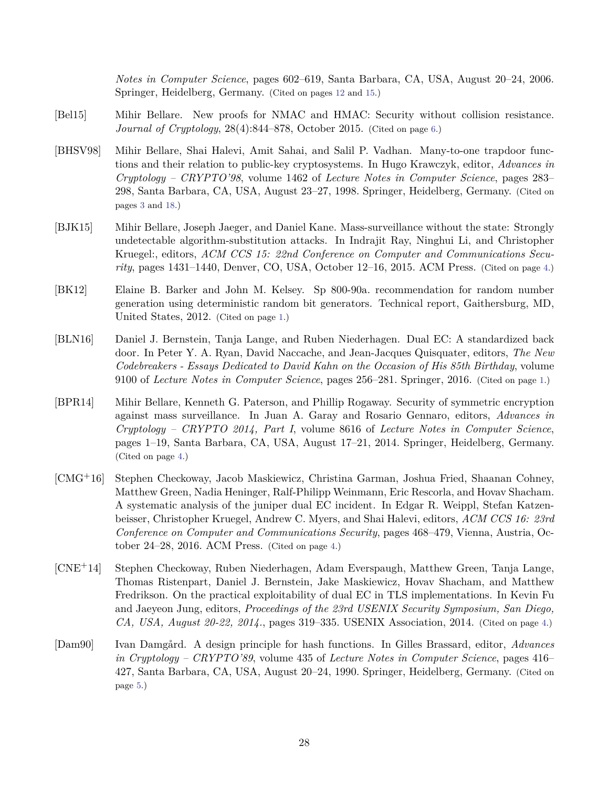*Notes in Computer Science*, pages 602–619, Santa Barbara, CA, USA, August 20–24, 2006. Springer, Heidelberg, Germany. (Cited on pages [12](#page-11-1) and [15.](#page-14-0))

- <span id="page-27-8"></span>[Bel15] Mihir Bellare. New proofs for NMAC and HMAC: Security without collision resistance. *Journal of Cryptology*, 28(4):844–878, October 2015. (Cited on page [6.](#page-5-1))
- <span id="page-27-2"></span>[BHSV98] Mihir Bellare, Shai Halevi, Amit Sahai, and Salil P. Vadhan. Many-to-one trapdoor functions and their relation to public-key cryptosystems. In Hugo Krawczyk, editor, *Advances in Cryptology – CRYPTO'98*, volume 1462 of *Lecture Notes in Computer Science*, pages 283– 298, Santa Barbara, CA, USA, August 23–27, 1998. Springer, Heidelberg, Germany. (Cited on pages [3](#page-2-1) and [18.](#page-17-3))
- <span id="page-27-4"></span>[BJK15] Mihir Bellare, Joseph Jaeger, and Daniel Kane. Mass-surveillance without the state: Strongly undetectable algorithm-substitution attacks. In Indrajit Ray, Ninghui Li, and Christopher Kruegel:, editors, *ACM CCS 15: 22nd Conference on Computer and Communications Security*, pages 1431–1440, Denver, CO, USA, October 12–16, 2015. ACM Press. (Cited on page [4.](#page-3-1))
- <span id="page-27-0"></span>[BK12] Elaine B. Barker and John M. Kelsey. Sp 800-90a. recommendation for random number generation using deterministic random bit generators. Technical report, Gaithersburg, MD, United States, 2012. (Cited on page [1.](#page-0-0))
- <span id="page-27-1"></span>[BLN16] Daniel J. Bernstein, Tanja Lange, and Ruben Niederhagen. Dual EC: A standardized back door. In Peter Y. A. Ryan, David Naccache, and Jean-Jacques Quisquater, editors, *The New Codebreakers - Essays Dedicated to David Kahn on the Occasion of His 85th Birthday*, volume 9100 of *Lecture Notes in Computer Science*, pages 256–281. Springer, 2016. (Cited on page [1.](#page-0-0))
- <span id="page-27-3"></span>[BPR14] Mihir Bellare, Kenneth G. Paterson, and Phillip Rogaway. Security of symmetric encryption against mass surveillance. In Juan A. Garay and Rosario Gennaro, editors, *Advances in Cryptology – CRYPTO 2014, Part I*, volume 8616 of *Lecture Notes in Computer Science*, pages 1–19, Santa Barbara, CA, USA, August 17–21, 2014. Springer, Heidelberg, Germany. (Cited on page [4.](#page-3-1))
- <span id="page-27-5"></span>[CMG+16] Stephen Checkoway, Jacob Maskiewicz, Christina Garman, Joshua Fried, Shaanan Cohney, Matthew Green, Nadia Heninger, Ralf-Philipp Weinmann, Eric Rescorla, and Hovav Shacham. A systematic analysis of the juniper dual EC incident. In Edgar R. Weippl, Stefan Katzenbeisser, Christopher Kruegel, Andrew C. Myers, and Shai Halevi, editors, *ACM CCS 16: 23rd Conference on Computer and Communications Security*, pages 468–479, Vienna, Austria, October 24–28, 2016. ACM Press. (Cited on page [4.](#page-3-1))
- <span id="page-27-6"></span>[CNE+14] Stephen Checkoway, Ruben Niederhagen, Adam Everspaugh, Matthew Green, Tanja Lange, Thomas Ristenpart, Daniel J. Bernstein, Jake Maskiewicz, Hovav Shacham, and Matthew Fredrikson. On the practical exploitability of dual EC in TLS implementations. In Kevin Fu and Jaeyeon Jung, editors, *Proceedings of the 23rd USENIX Security Symposium, San Diego, CA, USA, August 20-22, 2014.*, pages 319–335. USENIX Association, 2014. (Cited on page [4.](#page-3-1))
- <span id="page-27-7"></span>[Dam90] Ivan Damgård. A design principle for hash functions. In Gilles Brassard, editor, *Advances in Cryptology – CRYPTO'89*, volume 435 of *Lecture Notes in Computer Science*, pages 416– 427, Santa Barbara, CA, USA, August 20–24, 1990. Springer, Heidelberg, Germany. (Cited on page [5.](#page-4-1))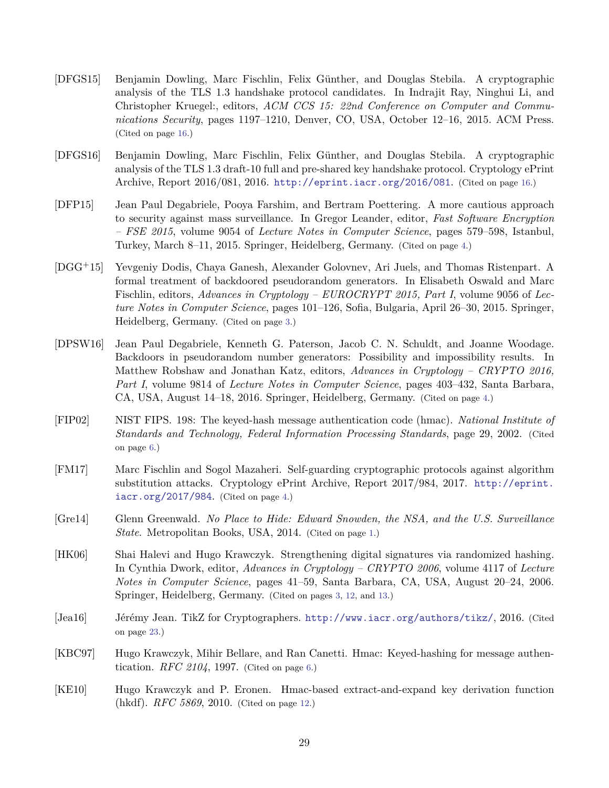- <span id="page-28-9"></span>[DFGS15] Benjamin Dowling, Marc Fischlin, Felix Günther, and Douglas Stebila. A cryptographic analysis of the TLS 1.3 handshake protocol candidates. In Indrajit Ray, Ninghui Li, and Christopher Kruegel:, editors, *ACM CCS 15: 22nd Conference on Computer and Communications Security*, pages 1197–1210, Denver, CO, USA, October 12–16, 2015. ACM Press. (Cited on page [16.](#page-15-1))
- <span id="page-28-10"></span>[DFGS16] Benjamin Dowling, Marc Fischlin, Felix Günther, and Douglas Stebila. A cryptographic analysis of the TLS 1.3 draft-10 full and pre-shared key handshake protocol. Cryptology ePrint Archive, Report 2016/081, 2016. <http://eprint.iacr.org/2016/081>. (Cited on page [16.](#page-15-1))
- <span id="page-28-4"></span>[DFP15] Jean Paul Degabriele, Pooya Farshim, and Bertram Poettering. A more cautious approach to security against mass surveillance. In Gregor Leander, editor, *Fast Software Encryption – FSE 2015*, volume 9054 of *Lecture Notes in Computer Science*, pages 579–598, Istanbul, Turkey, March 8–11, 2015. Springer, Heidelberg, Germany. (Cited on page [4.](#page-3-1))
- <span id="page-28-2"></span>[DGG+15] Yevgeniy Dodis, Chaya Ganesh, Alexander Golovnev, Ari Juels, and Thomas Ristenpart. A formal treatment of backdoored pseudorandom generators. In Elisabeth Oswald and Marc Fischlin, editors, *Advances in Cryptology – EUROCRYPT 2015, Part I*, volume 9056 of *Lecture Notes in Computer Science*, pages 101–126, Sofia, Bulgaria, April 26–30, 2015. Springer, Heidelberg, Germany. (Cited on page [3.](#page-2-1))
- <span id="page-28-3"></span>[DPSW16] Jean Paul Degabriele, Kenneth G. Paterson, Jacob C. N. Schuldt, and Joanne Woodage. Backdoors in pseudorandom number generators: Possibility and impossibility results. In Matthew Robshaw and Jonathan Katz, editors, *Advances in Cryptology – CRYPTO 2016, Part I*, volume 9814 of *Lecture Notes in Computer Science*, pages 403–432, Santa Barbara, CA, USA, August 14–18, 2016. Springer, Heidelberg, Germany. (Cited on page [4.](#page-3-1))
- <span id="page-28-7"></span>[FIP02] NIST FIPS. 198: The keyed-hash message authentication code (hmac). *National Institute of Standards and Technology, Federal Information Processing Standards*, page 29, 2002. (Cited on page [6.](#page-5-1))
- <span id="page-28-5"></span>[FM17] Marc Fischlin and Sogol Mazaheri. Self-guarding cryptographic protocols against algorithm substitution attacks. Cryptology ePrint Archive, Report 2017/984, 2017. [http://eprint.](http://eprint.iacr.org/2017/984) [iacr.org/2017/984](http://eprint.iacr.org/2017/984). (Cited on page [4.](#page-3-1))
- <span id="page-28-0"></span>[Gre14] Glenn Greenwald. *No Place to Hide: Edward Snowden, the NSA, and the U.S. Surveillance State*. Metropolitan Books, USA, 2014. (Cited on page [1.](#page-0-0))
- <span id="page-28-1"></span>[HK06] Shai Halevi and Hugo Krawczyk. Strengthening digital signatures via randomized hashing. In Cynthia Dwork, editor, *Advances in Cryptology – CRYPTO 2006*, volume 4117 of *Lecture Notes in Computer Science*, pages 41–59, Santa Barbara, CA, USA, August 20–24, 2006. Springer, Heidelberg, Germany. (Cited on pages [3,](#page-2-1) [12,](#page-11-1) and [13.](#page-12-1))
- <span id="page-28-11"></span>[Jea16] Jérémy Jean. TikZ for Cryptographers. <http://www.iacr.org/authors/tikz/>, 2016. (Cited on page [23.](#page-22-1))
- <span id="page-28-6"></span>[KBC97] Hugo Krawczyk, Mihir Bellare, and Ran Canetti. Hmac: Keyed-hashing for message authentication. *RFC 2104*, 1997. (Cited on page [6.](#page-5-1))
- <span id="page-28-8"></span>[KE10] Hugo Krawczyk and P. Eronen. Hmac-based extract-and-expand key derivation function (hkdf). *RFC 5869*, 2010. (Cited on page [12.](#page-11-1))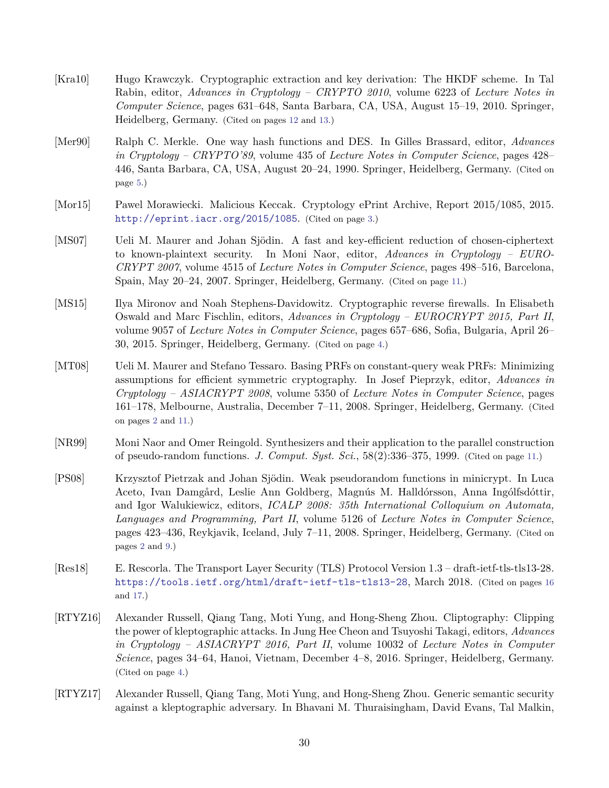- <span id="page-29-9"></span>[Kra10] Hugo Krawczyk. Cryptographic extraction and key derivation: The HKDF scheme. In Tal Rabin, editor, *Advances in Cryptology – CRYPTO 2010*, volume 6223 of *Lecture Notes in Computer Science*, pages 631–648, Santa Barbara, CA, USA, August 15–19, 2010. Springer, Heidelberg, Germany. (Cited on pages [12](#page-11-1) and [13.](#page-12-1))
- <span id="page-29-6"></span>[Mer90] Ralph C. Merkle. One way hash functions and DES. In Gilles Brassard, editor, *Advances in Cryptology – CRYPTO'89*, volume 435 of *Lecture Notes in Computer Science*, pages 428– 446, Santa Barbara, CA, USA, August 20–24, 1990. Springer, Heidelberg, Germany. (Cited on page [5.](#page-4-1))
- <span id="page-29-2"></span>[Mor15] Pawel Morawiecki. Malicious Keccak. Cryptology ePrint Archive, Report 2015/1085, 2015. <http://eprint.iacr.org/2015/1085>. (Cited on page [3.](#page-2-1))
- <span id="page-29-8"></span>[MS07] Ueli M. Maurer and Johan Sjödin. A fast and key-efficient reduction of chosen-ciphertext to known-plaintext security. In Moni Naor, editor, *Advances in Cryptology – EURO-CRYPT 2007*, volume 4515 of *Lecture Notes in Computer Science*, pages 498–516, Barcelona, Spain, May 20–24, 2007. Springer, Heidelberg, Germany. (Cited on page [11.](#page-10-2))
- <span id="page-29-3"></span>[MS15] Ilya Mironov and Noah Stephens-Davidowitz. Cryptographic reverse firewalls. In Elisabeth Oswald and Marc Fischlin, editors, *Advances in Cryptology – EUROCRYPT 2015, Part II*, volume 9057 of *Lecture Notes in Computer Science*, pages 657–686, Sofia, Bulgaria, April 26– 30, 2015. Springer, Heidelberg, Germany. (Cited on page [4.](#page-3-1))
- <span id="page-29-1"></span>[MT08] Ueli M. Maurer and Stefano Tessaro. Basing PRFs on constant-query weak PRFs: Minimizing assumptions for efficient symmetric cryptography. In Josef Pieprzyk, editor, *Advances in Cryptology – ASIACRYPT 2008*, volume 5350 of *Lecture Notes in Computer Science*, pages 161–178, Melbourne, Australia, December 7–11, 2008. Springer, Heidelberg, Germany. (Cited on pages [2](#page-1-0) and [11.](#page-10-2))
- <span id="page-29-7"></span>[NR99] Moni Naor and Omer Reingold. Synthesizers and their application to the parallel construction of pseudo-random functions. *J. Comput. Syst. Sci.*, 58(2):336–375, 1999. (Cited on page [11.](#page-10-2))
- <span id="page-29-0"></span>[PS08] Krzysztof Pietrzak and Johan Sjödin. Weak pseudorandom functions in minicrypt. In Luca Aceto, Ivan Damgård, Leslie Ann Goldberg, Magnús M. Halldórsson, Anna Ingólfsdóttir, and Igor Walukiewicz, editors, *ICALP 2008: 35th International Colloquium on Automata, Languages and Programming, Part II*, volume 5126 of *Lecture Notes in Computer Science*, pages 423–436, Reykjavik, Iceland, July 7–11, 2008. Springer, Heidelberg, Germany. (Cited on pages [2](#page-1-0) and [9.](#page-8-0))
- <span id="page-29-10"></span>[Res18] E. Rescorla. The Transport Layer Security (TLS) Protocol Version 1.3 – draft-ietf-tls-tls13-28. <https://tools.ietf.org/html/draft-ietf-tls-tls13-28>, March 2018. (Cited on pages [16](#page-15-1) and [17.](#page-16-1))
- <span id="page-29-4"></span>[RTYZ16] Alexander Russell, Qiang Tang, Moti Yung, and Hong-Sheng Zhou. Cliptography: Clipping the power of kleptographic attacks. In Jung Hee Cheon and Tsuyoshi Takagi, editors, *Advances in Cryptology – ASIACRYPT 2016, Part II*, volume 10032 of *Lecture Notes in Computer Science*, pages 34–64, Hanoi, Vietnam, December 4–8, 2016. Springer, Heidelberg, Germany. (Cited on page [4.](#page-3-1))
- <span id="page-29-5"></span>[RTYZ17] Alexander Russell, Qiang Tang, Moti Yung, and Hong-Sheng Zhou. Generic semantic security against a kleptographic adversary. In Bhavani M. Thuraisingham, David Evans, Tal Malkin,